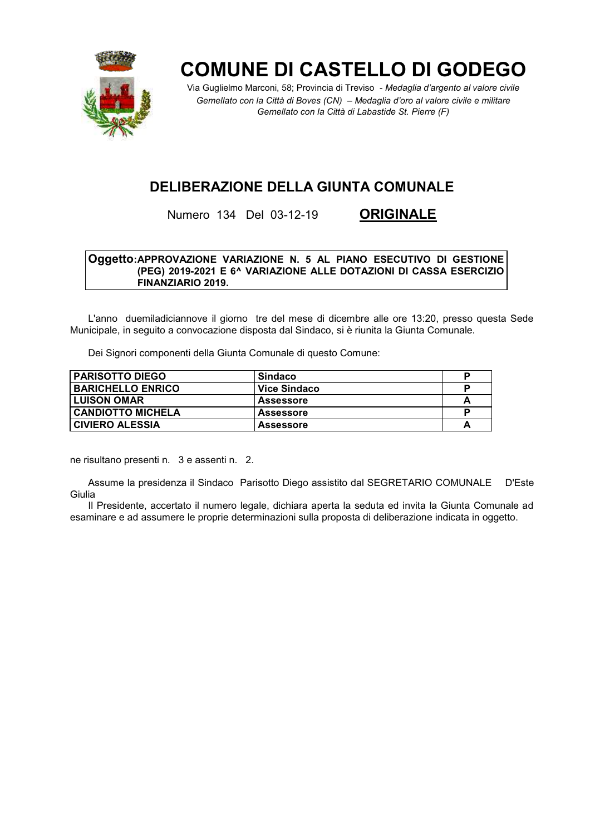

# **COMUNE DI CASTELLO DI GODEGO**

Via Guglielmo Marconi, 58; Provincia di Treviso - Medaglia d'argento al valore civile Gemellato con la Città di Boves (CN) - Medaglia d'oro al valore civile e militare Gemellato con la Città di Labastide St. Pierre (F)

# **DELIBERAZIONE DELLA GIUNTA COMUNALE**

Numero 134 Del 03-12-19

**ORIGINALE** 

#### Oggetto: APPROVAZIONE VARIAZIONE N. 5 AL PIANO ESECUTIVO DI GESTIONE (PEG) 2019-2021 E 6^ VARIAZIONE ALLE DOTAZIONI DI CASSA ESERCIZIO FINANZIARIO 2019.

L'anno duemiladiciannove il giorno tre del mese di dicembre alle ore 13:20, presso questa Sede Municipale, in seguito a convocazione disposta dal Sindaco, si è riunita la Giunta Comunale.

Dei Signori componenti della Giunta Comunale di questo Comune:

| <b>PARISOTTO DIEGO</b>   | Sindaco          |   |
|--------------------------|------------------|---|
| <b>BARICHELLO ENRICO</b> | Vice Sindaco     |   |
| I LUISON OMAR            | <b>Assessore</b> | A |
| <b>CANDIOTTO MICHELA</b> | <b>Assessore</b> | D |
| <b>CIVIERO ALESSIA</b>   | <b>Assessore</b> |   |

ne risultano presenti n. 3 e assenti n. 2.

Assume la presidenza il Sindaco Parisotto Diego assistito dal SEGRETARIO COMUNALE D'Este Giulia

Il Presidente, accertato il numero legale, dichiara aperta la seduta ed invita la Giunta Comunale ad esaminare e ad assumere le proprie determinazioni sulla proposta di deliberazione indicata in oggetto.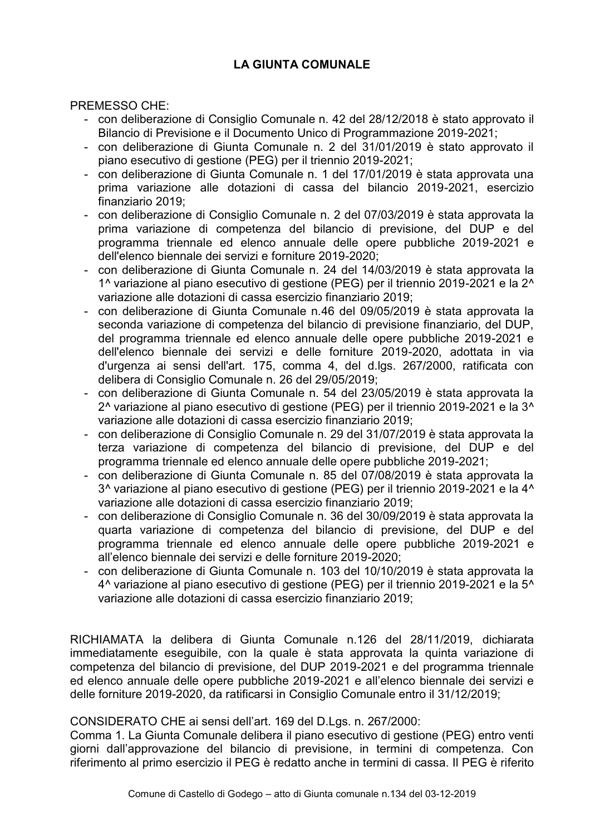### **LA GIUNTA COMUNALE**

**PREMESSO CHE:** 

- con deliberazione di Consiglio Comunale n. 42 del 28/12/2018 è stato approvato il Bilancio di Previsione e il Documento Unico di Programmazione 2019-2021;
- con deliberazione di Giunta Comunale n. 2 del 31/01/2019 è stato approvato il piano esecutivo di gestione (PEG) per il triennio 2019-2021:
- con deliberazione di Giunta Comunale n. 1 del 17/01/2019 è stata approvata una prima variazione alle dotazioni di cassa del bilancio 2019-2021, esercizio finanziario 2019:
- con deliberazione di Consiglio Comunale n. 2 del 07/03/2019 è stata approvata la prima variazione di competenza del bilancio di previsione, del DUP e del programma triennale ed elenco annuale delle opere pubbliche 2019-2021 e dell'elenco biennale dei servizi e forniture 2019-2020:
- con deliberazione di Giunta Comunale n. 24 del 14/03/2019 è stata approvata la 1^ variazione al piano esecutivo di gestione (PEG) per il triennio 2019-2021 e la 2^ variazione alle dotazioni di cassa esercizio finanziario 2019:
- con deliberazione di Giunta Comunale n.46 del 09/05/2019 è stata approvata la seconda variazione di competenza del bilancio di previsione finanziario, del DUP, del programma triennale ed elenco annuale delle opere pubbliche 2019-2021 e dell'elenco biennale dei servizi e delle forniture 2019-2020, adottata in via d'urgenza ai sensi dell'art. 175. comma 4. del d.lgs. 267/2000, ratificata con delibera di Consiglio Comunale n. 26 del 29/05/2019;
- con deliberazione di Giunta Comunale n. 54 del 23/05/2019 è stata approvata la 2^ variazione al piano esecutivo di gestione (PEG) per il triennio 2019-2021 e la 3^ variazione alle dotazioni di cassa esercizio finanziario 2019:
- con deliberazione di Consiglio Comunale n. 29 del 31/07/2019 è stata approvata la terza variazione di competenza del bilancio di previsione, del DUP e del programma triennale ed elenco annuale delle opere pubbliche 2019-2021:
- con deliberazione di Giunta Comunale n. 85 del 07/08/2019 è stata approvata la 3^ variazione al piano esecutivo di gestione (PEG) per il triennio 2019-2021 e la 4^ variazione alle dotazioni di cassa esercizio finanziario 2019:
- con deliberazione di Consiglio Comunale n. 36 del 30/09/2019 è stata approvata la quarta variazione di competenza del bilancio di previsione, del DUP e del programma triennale ed elenco annuale delle opere pubbliche 2019-2021 e all'elenco biennale dei servizi e delle forniture 2019-2020;
- con deliberazione di Giunta Comunale n. 103 del 10/10/2019 è stata approvata la 4^ variazione al piano esecutivo di gestione (PEG) per il triennio 2019-2021 e la 5^ variazione alle dotazioni di cassa esercizio finanziario 2019:

RICHIAMATA la delibera di Giunta Comunale n.126 del 28/11/2019, dichiarata immediatamente eseguibile, con la quale è stata approvata la quinta variazione di competenza del bilancio di previsione, del DUP 2019-2021 e del programma triennale ed elenco annuale delle opere pubbliche 2019-2021 e all'elenco biennale dei servizi e delle forniture 2019-2020, da ratificarsi in Consiglio Comunale entro il 31/12/2019;

#### CONSIDERATO CHE ai sensi dell'art. 169 del D.Lgs. n. 267/2000:

Comma 1. La Giunta Comunale delibera il piano esecutivo di gestione (PEG) entro venti giorni dall'approvazione del bilancio di previsione, in termini di competenza. Con riferimento al primo esercizio il PEG è redatto anche in termini di cassa. Il PEG è riferito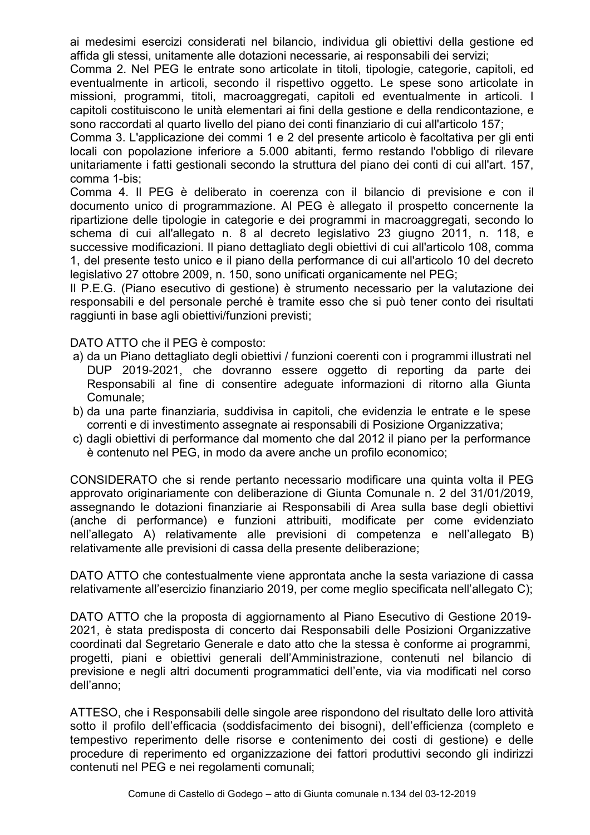ai medesimi esercizi considerati nel bilancio, individua gli obiettivi della gestione ed affida gli stessi, unitamente alle dotazioni necessarie, ai responsabili dei servizi;

Comma 2. Nel PEG le entrate sono articolate in titoli, tipologie, categorie, capitoli, ed eventualmente in articoli, secondo il rispettivo oggetto. Le spese sono articolate in missioni, programmi, titoli, macroaggregati, capitoli ed eventualmente in articoli. I capitoli costituiscono le unità elementari ai fini della gestione e della rendicontazione, e sono raccordati al quarto livello del piano dei conti finanziario di cui all'articolo 157;

Comma 3. L'applicazione dei commi 1 e 2 del presente articolo è facoltativa per gli enti locali con popolazione inferiore a 5.000 abitanti, fermo restando l'obbligo di rilevare unitariamente i fatti gestionali secondo la struttura del piano dei conti di cui all'art. 157, comma 1-bis:

Comma 4. Il PEG è deliberato in coerenza con il bilancio di previsione e con il documento unico di programmazione. Al PEG è allegato il prospetto concernente la ripartizione delle tipologie in categorie e dei programmi in macroaggregati, secondo lo schema di cui all'allegato n. 8 al decreto legislativo 23 giugno 2011, n. 118, e successive modificazioni. Il piano dettagliato degli obiettivi di cui all'articolo 108, comma 1, del presente testo unico e il piano della performance di cui all'articolo 10 del decreto legislativo 27 ottobre 2009, n. 150, sono unificati organicamente nel PEG;

Il P.E.G. (Piano esecutivo di gestione) è strumento necessario per la valutazione dei responsabili e del personale perché è tramite esso che si può tener conto dei risultati raggiunti in base agli obiettivi/funzioni previsti;

DATO ATTO che il PEG è composto:

- a) da un Piano dettagliato degli obiettivi / funzioni coerenti con i programmi illustrati nel DUP 2019-2021, che dovranno essere oggetto di reporting da parte dei Responsabili al fine di consentire adequate informazioni di ritorno alla Giunta Comunale:
- b) da una parte finanziaria, suddivisa in capitoli, che evidenzia le entrate e le spese correnti e di investimento assegnate ai responsabili di Posizione Organizzativa;
- c) dagli obiettivi di performance dal momento che dal 2012 il piano per la performance è contenuto nel PEG, in modo da avere anche un profilo economico;

CONSIDERATO che si rende pertanto necessario modificare una quinta volta il PEG approvato originariamente con deliberazione di Giunta Comunale n. 2 del 31/01/2019, assegnando le dotazioni finanziarie ai Responsabili di Area sulla base degli obiettivi (anche di performance) e funzioni attribuiti, modificate per come evidenziato nell'allegato A) relativamente alle previsioni di competenza e nell'allegato B) relativamente alle previsioni di cassa della presente deliberazione:

DATO ATTO che contestualmente viene approntata anche la sesta variazione di cassa relativamente all'esercizio finanziario 2019, per come meglio specificata nell'allegato C);

DATO ATTO che la proposta di aggiornamento al Piano Esecutivo di Gestione 2019-2021, è stata predisposta di concerto dai Responsabili delle Posizioni Organizzative coordinati dal Segretario Generale e dato atto che la stessa è conforme ai programmi, progetti, piani e obiettivi generali dell'Amministrazione, contenuti nel bilancio di previsione e negli altri documenti programmatici dell'ente, via via modificati nel corso dell'anno;

ATTESO, che i Responsabili delle singole aree rispondono del risultato delle loro attività sotto il profilo dell'efficacia (soddisfacimento dei bisogni), dell'efficienza (completo e tempestivo reperimento delle risorse e contenimento dei costi di gestione) e delle procedure di reperimento ed organizzazione dei fattori produttivi secondo gli indirizzi contenuti nel PEG e nei regolamenti comunali: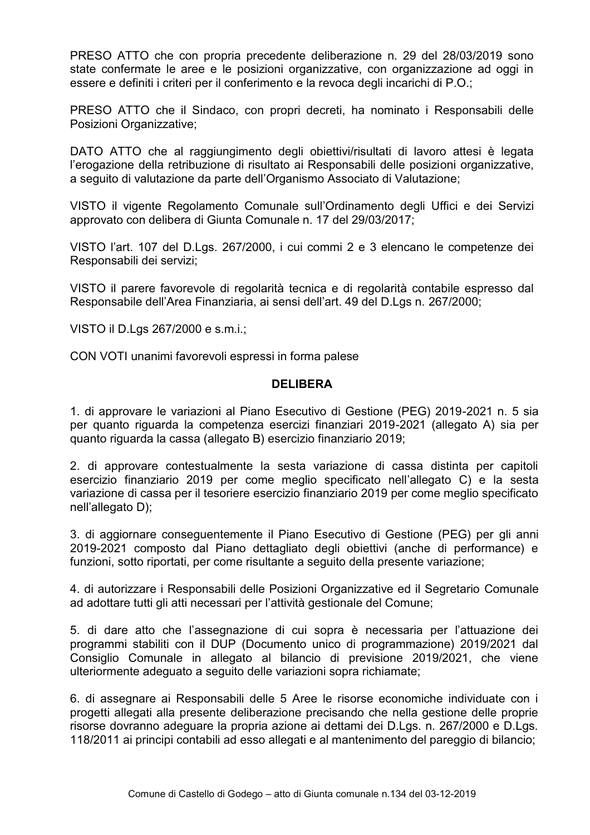PRESO ATTO che con propria precedente deliberazione n. 29 del 28/03/2019 sono state confermate le aree e le posizioni organizzative, con organizzazione ad oggi in essere e definiti i criteri per il conferimento e la revoca degli incarichi di P.O.;

PRESO ATTO che il Sindaco, con propri decreti, ha nominato i Responsabili delle Posizioni Organizzative;

DATO ATTO che al raggiungimento degli obiettivi/risultati di lavoro attesi è legata l'erogazione della retribuzione di risultato ai Responsabili delle posizioni organizzative, a seguito di valutazione da parte dell'Organismo Associato di Valutazione;

VISTO il vigente Regolamento Comunale sull'Ordinamento degli Uffici e dei Servizi approvato con delibera di Giunta Comunale n. 17 del 29/03/2017;

VISTO l'art. 107 del D.Lgs. 267/2000, i cui commi 2 e 3 elencano le competenze dei Responsabili dei servizi:

VISTO il parere favorevole di regolarità tecnica e di regolarità contabile espresso dal Responsabile dell'Area Finanziaria, ai sensi dell'art, 49 del D.Las n. 267/2000:

VISTO il D.Lgs 267/2000 e s.m.i.;

CON VOTI unanimi favorevoli espressi in forma palese

#### **DELIBERA**

1. di approvare le variazioni al Piano Esecutivo di Gestione (PEG) 2019-2021 n. 5 sia per quanto riguarda la competenza esercizi finanziari 2019-2021 (allegato A) sia per quanto riguarda la cassa (allegato B) esercizio finanziario 2019;

2. di approvare contestualmente la sesta variazione di cassa distinta per capitoli esercizio finanziario 2019 per come meglio specificato nell'allegato C) e la sesta variazione di cassa per il tesoriere esercizio finanziario 2019 per come meglio specificato nell'allegato D);

3. di aggiornare conseguentemente il Piano Esecutivo di Gestione (PEG) per gli anni 2019-2021 composto dal Piano dettagliato degli objettivi (anche di performance) e funzioni, sotto riportati, per come risultante a seguito della presente variazione;

4. di autorizzare i Responsabili delle Posizioni Organizzative ed il Segretario Comunale ad adottare tutti gli atti necessari per l'attività gestionale del Comune:

5. di dare atto che l'assegnazione di cui sopra è necessaria per l'attuazione dei programmi stabiliti con il DUP (Documento unico di programmazione) 2019/2021 dal Consiglio Comunale in allegato al bilancio di previsione 2019/2021, che viene ulteriormente adeguato a seguito delle variazioni sopra richiamate;

6. di assegnare ai Responsabili delle 5 Aree le risorse economiche individuate con i progetti allegati alla presente deliberazione precisando che nella gestione delle proprie risorse dovranno adeguare la propria azione ai dettami dei D.Lgs. n. 267/2000 e D.Lgs. 118/2011 ai principi contabili ad esso allegati e al mantenimento del pareggio di bilancio;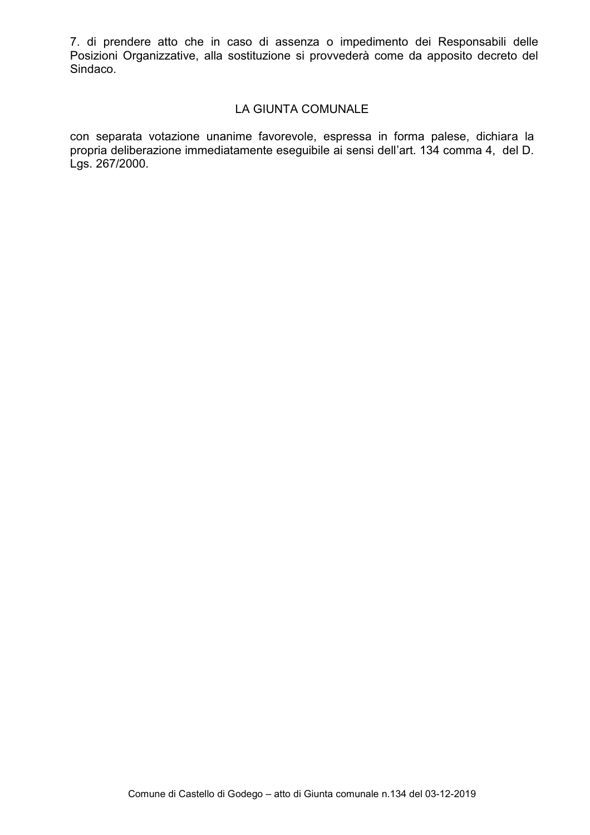7. di prendere atto che in caso di assenza o impedimento dei Responsabili delle Posizioni Organizzative, alla sostituzione si provvederà come da apposito decreto del Sindaco.

#### LA GIUNTA COMUNALE

con separata votazione unanime favorevole, espressa in forma palese, dichiara la propria deliberazione immediatamente eseguibile ai sensi dell'art. 134 comma 4, del D. Lgs. 267/2000.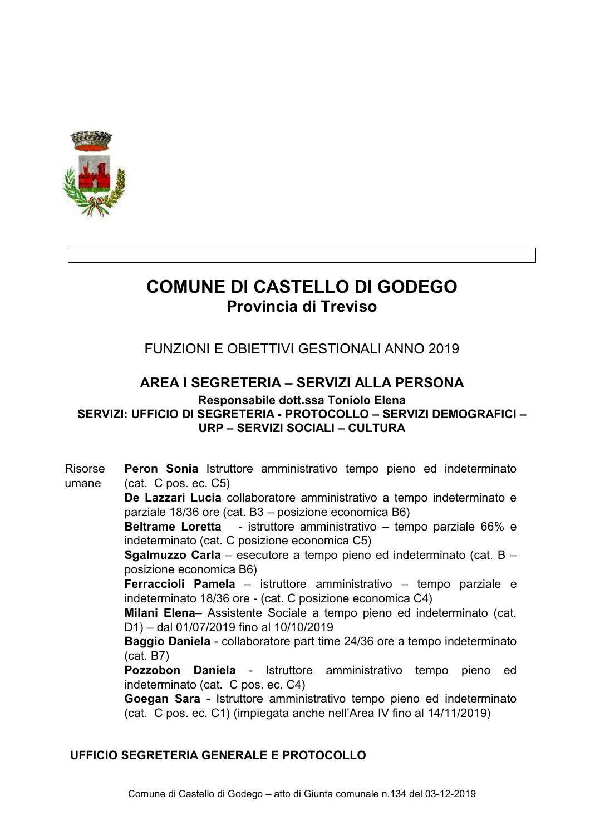

# **COMUNE DI CASTELLO DI GODEGO** Provincia di Treviso

**FUNZIONI E OBIETTIVI GESTIONALI ANNO 2019** 

# AREA I SEGRETERIA – SERVIZI ALLA PERSONA

Responsabile dott.ssa Toniolo Elena

SERVIZI: UFFICIO DI SEGRETERIA - PROTOCOLLO – SERVIZI DEMOGRAFICI – URP - SERVIZI SOCIALI - CULTURA

Risorse Peron Sonia Istruttore amministrativo tempo pieno ed indeterminato umane  $(cat. C pos. ec. C5)$ De Lazzari Lucia collaboratore amministrativo a tempo indeterminato e parziale 18/36 ore (cat. B3 - posizione economica B6) Beltrame Loretta - istruttore amministrativo - tempo parziale 66% e indeterminato (cat. C posizione economica C5) Sgalmuzzo Carla - esecutore a tempo pieno ed indeterminato (cat. B posizione economica B6) Ferraccioli Pamela - istruttore amministrativo - tempo parziale e indeterminato 18/36 ore - (cat. C posizione economica C4) Milani Elena- Assistente Sociale a tempo pieno ed indeterminato (cat. D1) - dal 01/07/2019 fino al 10/10/2019 Baggio Daniela - collaboratore part time 24/36 ore a tempo indeterminato  $(cat. B7)$ Pozzobon Daniela - Istruttore amministrativo tempo pieno ed indeterminato (cat. C pos. ec. C4) Goegan Sara - Istruttore amministrativo tempo pieno ed indeterminato (cat. C pos. ec. C1) (impiegata anche nell'Area IV fino al 14/11/2019)

#### UFFICIO SEGRETERIA GENERALE E PROTOCOLLO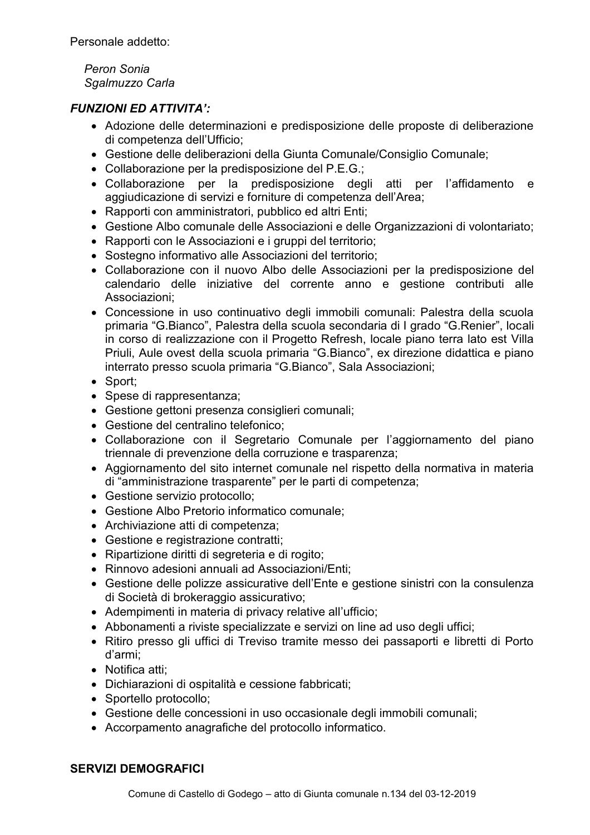Personale addetto:

Peron Sonia Sgalmuzzo Carla

#### **FUNZIONI ED ATTIVITA':**

- Adozione delle determinazioni e predisposizione delle proposte di deliberazione di competenza dell'Ufficio:
- Gestione delle deliberazioni della Giunta Comunale/Consiglio Comunale;
- Collaborazione per la predisposizione del P.E.G.;
- Collaborazione per la predisposizione degli atti per l'affidamento e aggiudicazione di servizi e forniture di competenza dell'Area;
- Rapporti con amministratori, pubblico ed altri Enti:
- Gestione Albo comunale delle Associazioni e delle Organizzazioni di volontariato;
- Rapporti con le Associazioni e i gruppi del territorio;
- Sostegno informativo alle Associazioni del territorio;
- Collaborazione con il nuovo Albo delle Associazioni per la predisposizione del calendario delle iniziative del corrente anno e gestione contributi alle Associazioni:
- Concessione in uso continuativo degli immobili comunali: Palestra della scuola primaria "G.Bianco". Palestra della scuola secondaria di I grado "G.Renier", locali in corso di realizzazione con il Progetto Refresh, locale piano terra lato est Villa Priuli. Aule ovest della scuola primaria "G.Bianco", ex direzione didattica e piano interrato presso scuola primaria "G.Bianco", Sala Associazioni;
- Sport:
- Spese di rappresentanza;
- Gestione gettoni presenza consiglieri comunali;
- Gestione del centralino telefonico:
- Collaborazione con il Segretario Comunale per l'aggiornamento del piano triennale di prevenzione della corruzione e trasparenza;
- Aggiornamento del sito internet comunale nel rispetto della normativa in materia di "amministrazione trasparente" per le parti di competenza;
- Gestione servizio protocollo;
- Gestione Albo Pretorio informatico comunale;
- Archiviazione atti di competenza;
- Gestione e registrazione contratti;
- · Ripartizione diritti di segreteria e di rogito;
- Rinnovo adesioni annuali ad Associazioni/Enti;
- Gestione delle polizze assicurative dell'Ente e gestione sinistri con la consulenza di Società di brokeraggio assicurativo;
- Adempimenti in materia di privacy relative all'ufficio;
- Abbonamenti a riviste specializzate e servizi on line ad uso degli uffici:
- Ritiro presso gli uffici di Treviso tramite messo dei passaporti e libretti di Porto d'armi:
- Notifica atti:
- Dichiarazioni di ospitalità e cessione fabbricati;
- Sportello protocollo;
- Gestione delle concessioni in uso occasionale degli immobili comunali;
- Accorpamento anagrafiche del protocollo informatico.

### **SERVIZI DEMOGRAFICI**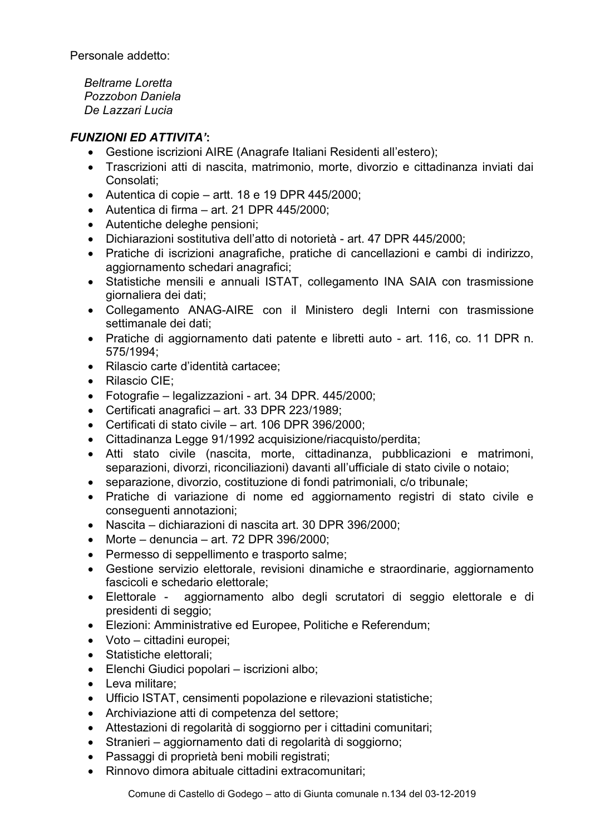Personale addetto:

**Beltrame I oretta** Pozzobon Daniela De Lazzari Lucia

- Gestione iscrizioni AIRE (Anagrafe Italiani Residenti all'estero):
- Trascrizioni atti di nascita, matrimonio, morte, divorzio e cittadinanza inviati dai Consolati:
- Autentica di copie artt. 18 e 19 DPR 445/2000;
- Autentica di firma  $-$  art. 21 DPR 445/2000;
- Autentiche deleghe pensioni;
- Dichiarazioni sostitutiva dell'atto di notorietà art. 47 DPR 445/2000:
- Pratiche di iscrizioni anagrafiche, pratiche di cancellazioni e cambi di indirizzo. aggiornamento schedari anagrafici;
- Statistiche mensili e annuali ISTAT, collegamento INA SAIA con trasmissione giornaliera dei dati;
- Collegamento ANAG-AIRE con il Ministero degli Interni con trasmissione settimanale dei dati;
- Pratiche di aggiornamento dati patente e libretti auto art. 116, co. 11 DPR n. 575/1994;
- · Rilascio carte d'identità cartacee:
- Rilascio CIE:
- Fotografie legalizzazioni art. 34 DPR. 445/2000;
- Certificati anagrafici art. 33 DPR 223/1989:
- Certificati di stato civile art. 106 DPR 396/2000;
- Cittadinanza Legge 91/1992 acquisizione/riacquisto/perdita;
- Atti stato civile (nascita, morte, cittadinanza, pubblicazioni e matrimoni, separazioni, divorzi, riconciliazioni) davanti all'ufficiale di stato civile o notaio:
- separazione, divorzio, costituzione di fondi patrimoniali, c/o tribunale;
- Pratiche di variazione di nome ed aggiornamento registri di stato civile e consequenti annotazioni;
- Nascita dichiarazioni di nascita art. 30 DPR 396/2000;
- Morte denuncia art. 72 DPR 396/2000:
- Permesso di seppellimento e trasporto salme;
- Gestione servizio elettorale, revisioni dinamiche e straordinarie, aggiornamento fascicoli e schedario elettorale:
- · Elettorale aggiornamento albo degli scrutatori di seggio elettorale e di presidenti di seggio;
- Elezioni: Amministrative ed Europee, Politiche e Referendum;
- Voto cittadini europei:
- Statistiche elettorali:
- Elenchi Giudici popolari iscrizioni albo;
- Leva militare:
- Ufficio ISTAT, censimenti popolazione e rilevazioni statistiche;
- Archiviazione atti di competenza del settore:
- Attestazioni di regolarità di soggiorno per i cittadini comunitari;
- · Stranieri aggiornamento dati di regolarità di soggiorno;
- · Passaggi di proprietà beni mobili registrati;
- · Rinnovo dimora abituale cittadini extracomunitari;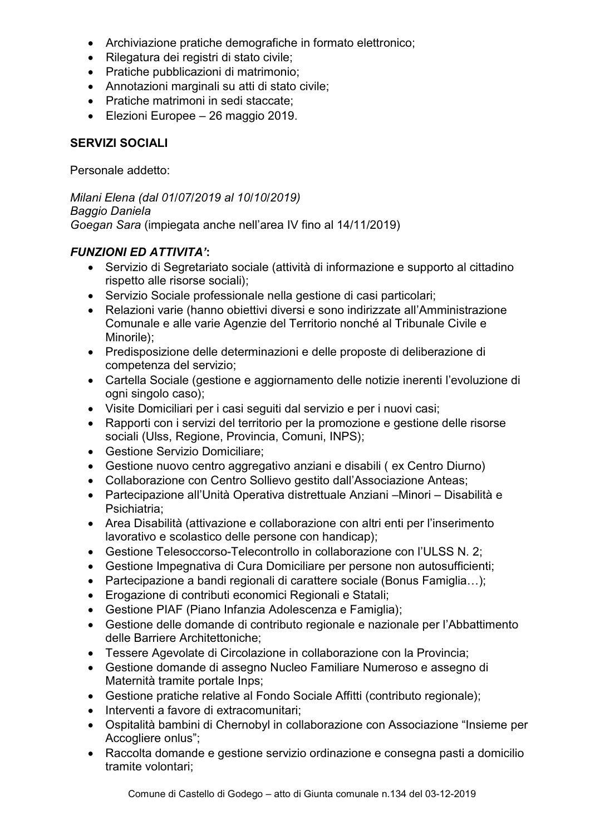- Archiviazione pratiche demografiche in formato elettronico;
- · Rilegatura dei registri di stato civile;
- Pratiche pubblicazioni di matrimonio;
- Annotazioni marginali su atti di stato civile;
- Pratiche matrimoni in sedi staccate:
- Elezioni Europee 26 maggio 2019.

#### **SERVIZI SOCIALI**

Personale addetto:

Milani Elena (dal 01/07/2019 al 10/10/2019) Baggio Daniela Goegan Sara (impiegata anche nell'area IV fino al 14/11/2019)

- Servizio di Segretariato sociale (attività di informazione e supporto al cittadino rispetto alle risorse sociali);
- Servizio Sociale professionale nella gestione di casi particolari;
- Relazioni varie (hanno obiettivi diversi e sono indirizzate all'Amministrazione Comunale e alle varie Agenzie del Territorio nonché al Tribunale Civile e Minorile);
- Predisposizione delle determinazioni e delle proposte di deliberazione di competenza del servizio;
- Cartella Sociale (gestione e aggiornamento delle notizie inerenti l'evoluzione di ogni singolo caso);
- Visite Domiciliari per i casi sequiti dal servizio e per i nuovi casi;
- Rapporti con i servizi del territorio per la promozione e gestione delle risorse sociali (Ulss, Regione, Provincia, Comuni, INPS);
- Gestione Servizio Domiciliare;
- Gestione nuovo centro aggregativo anziani e disabili (ex Centro Diurno)
- Collaborazione con Centro Sollievo gestito dall'Associazione Anteas;
- Partecipazione all'Unità Operativa distrettuale Anziani Minori Disabilità e Psichiatria:
- Area Disabilità (attivazione e collaborazione con altri enti per l'inserimento lavorativo e scolastico delle persone con handicap);
- Gestione Telesoccorso-Telecontrollo in collaborazione con l'ULSS N. 2:
- Gestione Impegnativa di Cura Domiciliare per persone non autosufficienti;
- Partecipazione a bandi regionali di carattere sociale (Bonus Famiglia...):
- Erogazione di contributi economici Regionali e Statali;
- Gestione PIAF (Piano Infanzia Adolescenza e Famiglia);
- Gestione delle domande di contributo regionale e nazionale per l'Abbattimento delle Barriere Architettoniche;
- Tessere Agevolate di Circolazione in collaborazione con la Provincia;
- Gestione domande di assegno Nucleo Familiare Numeroso e assegno di Maternità tramite portale Inps;
- Gestione pratiche relative al Fondo Sociale Affitti (contributo regionale);
- · Interventi a favore di extracomunitari;
- Ospitalità bambini di Chernobyl in collaborazione con Associazione "Insieme per Accogliere onlus";
- Raccolta domande e gestione servizio ordinazione e consegna pasti a domicilio tramite volontari: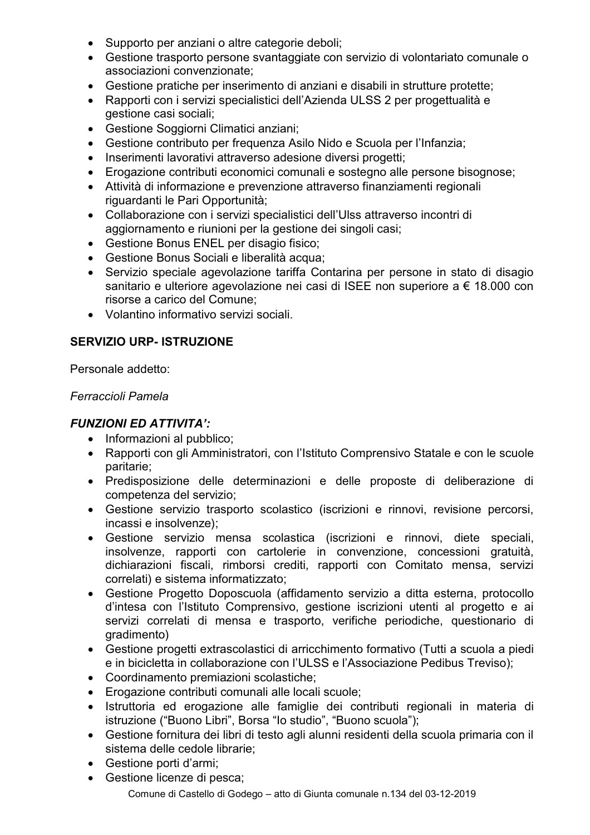- Supporto per anziani o altre categorie deboli;
- Gestione trasporto persone svantaggiate con servizio di volontariato comunale o associazioni convenzionate;
- Gestione pratiche per inserimento di anziani e disabili in strutture protette;
- Rapporti con i servizi specialistici dell'Azienda ULSS 2 per progettualità e gestione casi sociali;
- Gestione Soggiorni Climatici anziani;
- Gestione contributo per frequenza Asilo Nido e Scuola per l'Infanzia;
- Inserimenti lavorativi attraverso adesione diversi progetti;
- Erogazione contributi economici comunali e sostegno alle persone bisognose;
- Attività di informazione e prevenzione attraverso finanziamenti regionali riguardanti le Pari Opportunità;
- Collaborazione con i servizi specialistici dell'Ulss attraverso incontri di aggiornamento e riunioni per la gestione dei singoli casi;
- Gestione Bonus ENEL per disagio fisico;
- Gestione Bonus Sociali e liberalità acqua:
- Servizio speciale agevolazione tariffa Contarina per persone in stato di disagio sanitario e ulteriore agevolazione nei casi di ISEE non superiore a € 18.000 con risorse a carico del Comune:
- Volantino informativo servizi sociali.

### **SERVIZIO URP- ISTRUZIONE**

Personale addetto:

#### Ferraccioli Pamela

- Informazioni al pubblico;
- Rapporti con gli Amministratori, con l'Istituto Comprensivo Statale e con le scuole paritarie:
- · Predisposizione delle determinazioni e delle proposte di deliberazione di competenza del servizio;
- Gestione servizio trasporto scolastico (iscrizioni e rinnovi, revisione percorsi, incassi e insolvenze);
- · Gestione servizio mensa scolastica (iscrizioni e rinnovi, diete speciali, insolvenze, rapporti con cartolerie in convenzione, concessioni gratuità, dichiarazioni fiscali, rimborsi crediti, rapporti con Comitato mensa, servizi correlati) e sistema informatizzato;
- Gestione Progetto Doposcuola (affidamento servizio a ditta esterna, protocollo d'intesa con l'Istituto Comprensivo, gestione iscrizioni utenti al progetto e ai servizi correlati di mensa e trasporto, verifiche periodiche, questionario di qradimento)
- Gestione progetti extrascolastici di arricchimento formativo (Tutti a scuola a piedi e in bicicletta in collaborazione con l'ULSS e l'Associazione Pedibus Treviso);
- Coordinamento premiazioni scolastiche;
- Erogazione contributi comunali alle locali scuole:
- · Istruttoria ed erogazione alle famiglie dei contributi regionali in materia di istruzione ("Buono Libri", Borsa "lo studio", "Buono scuola");
- Gestione fornitura dei libri di testo agli alunni residenti della scuola primaria con il sistema delle cedole librarie:
- Gestione porti d'armi;
- Gestione licenze di pesca; Comune di Castello di Godego - atto di Giunta comunale n.134 del 03-12-2019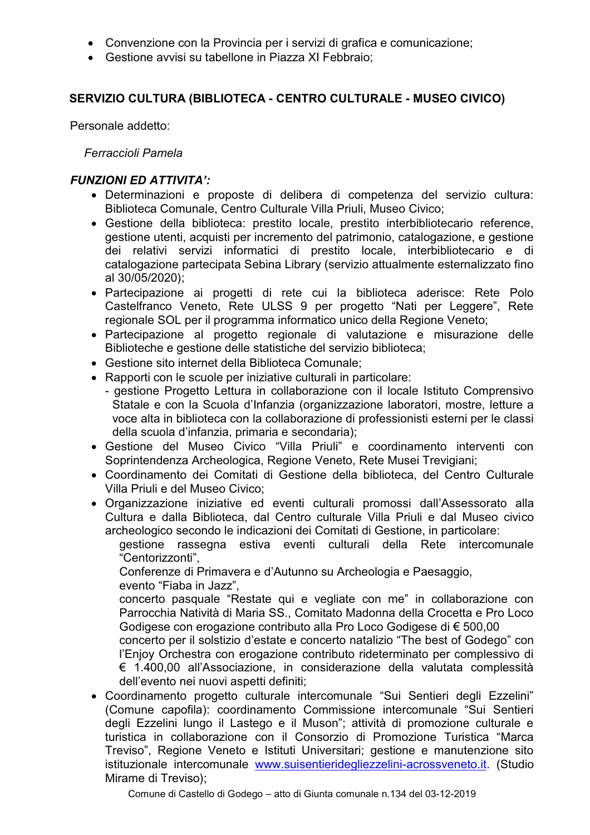- Convenzione con la Provincia per i servizi di grafica e comunicazione;
- Gestione avvisi su tabellone in Piazza XI Febbraio;

#### SERVIZIO CULTURA (BIBLIOTECA - CENTRO CULTURALE - MUSEO CIVICO)

Personale addetto:

Ferraccioli Pamela

#### **FUNZIONI ED ATTIVITA':**

- · Determinazioni e proposte di delibera di competenza del servizio cultura: Biblioteca Comunale, Centro Culturale Villa Priuli, Museo Civico;
- Gestione della biblioteca: prestito locale, prestito interbibliotecario reference, gestione utenti, acquisti per incremento del patrimonio, catalogazione, e gestione dei relativi servizi informatici di prestito locale, interbibliotecario e di catalogazione partecipata Sebina Library (servizio attualmente esternalizzato fino al 30/05/2020):
- · Partecipazione ai progetti di rete cui la biblioteca aderisce: Rete Polo Castelfranco Veneto, Rete ULSS 9 per progetto "Nati per Leggere", Rete regionale SOL per il programma informatico unico della Regione Veneto;
- · Partecipazione al progetto regionale di valutazione e misurazione delle Biblioteche e gestione delle statistiche del servizio biblioteca;
- Gestione sito internet della Biblioteca Comunale;
- Rapporti con le scuole per iniziative culturali in particolare:
	- gestione Progetto Lettura in collaborazione con il locale Istituto Comprensivo Statale e con la Scuola d'Infanzia (organizzazione laboratori, mostre, letture a voce alta in biblioteca con la collaborazione di professionisti esterni per le classi della scuola d'infanzia, primaria e secondaria);
- Gestione del Museo Civico "Villa Priuli" e coordinamento interventi con Soprintendenza Archeologica, Regione Veneto, Rete Musei Trevigiani;
- Coordinamento dei Comitati di Gestione della biblioteca, del Centro Culturale Villa Priuli e del Museo Civico:
- Organizzazione iniziative ed eventi culturali promossi dall'Assessorato alla Cultura e dalla Biblioteca, dal Centro culturale Villa Priuli e dal Museo civico archeologico secondo le indicazioni dei Comitati di Gestione, in particolare:

gestione rassegna estiva eventi culturali della Rete intercomunale "Centorizzonti",

Conferenze di Primavera e d'Autunno su Archeologia e Paesaggio. evento "Fiaba in Jazz",

concerto pasquale "Restate qui e vegliate con me" in collaborazione con Parrocchia Natività di Maria SS., Comitato Madonna della Crocetta e Pro Loco Godigese con erogazione contributo alla Pro Loco Godigese di € 500.00

concerto per il solstizio d'estate e concerto natalizio "The best of Godego" con l'Enjoy Orchestra con erogazione contributo rideterminato per complessivo di € 1.400.00 all'Associazione, in considerazione della valutata complessità dell'evento nei nuovi aspetti definiti:

• Coordinamento progetto culturale intercomunale "Sui Sentieri degli Ezzelini" (Comune capofila): coordinamento Commissione intercomunale "Sui Sentieri degli Ezzelini lungo il Lastego e il Muson"; attività di promozione culturale e turistica in collaborazione con il Consorzio di Promozione Turistica "Marca Treviso", Regione Veneto e Istituti Universitari; gestione e manutenzione sito istituzionale intercomunale www.suisentieridegliezzelini-acrossveneto.it. (Studio Mirame di Treviso);

Comune di Castello di Godego - atto di Giunta comunale n.134 del 03-12-2019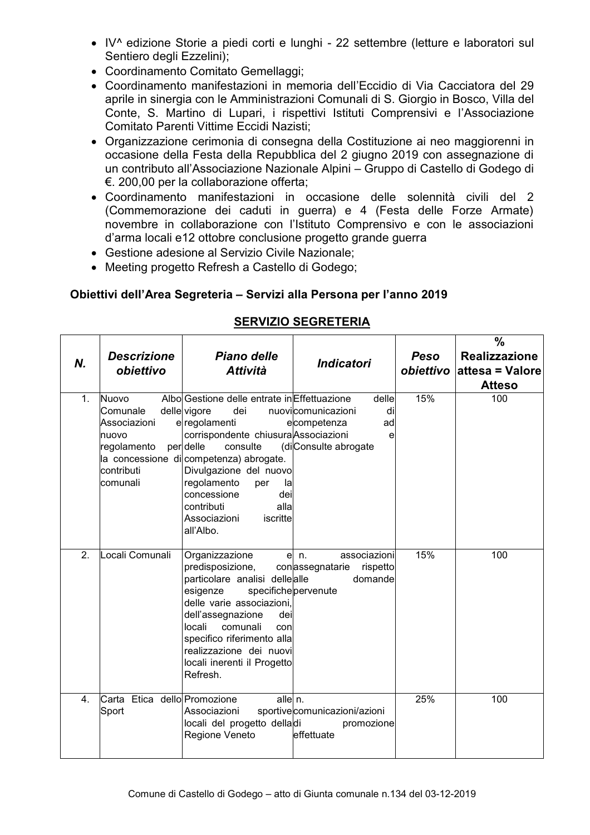- IV^ edizione Storie a piedi corti e lunghi 22 settembre (letture e laboratori sul Sentiero degli Ezzelini);
- Coordinamento Comitato Gemellaggi;
- Coordinamento manifestazioni in memoria dell'Eccidio di Via Cacciatora del 29 aprile in sinergia con le Amministrazioni Comunali di S. Giorgio in Bosco, Villa del Conte, S. Martino di Lupari, i rispettivi Istituti Comprensivi e l'Associazione Comitato Parenti Vittime Eccidi Nazisti;
- Organizzazione cerimonia di consegna della Costituzione ai neo maggiorenni in occasione della Festa della Repubblica del 2 giugno 2019 con assegnazione di un contributo all'Associazione Nazionale Alpini - Gruppo di Castello di Godego di €. 200,00 per la collaborazione offerta;
- Coordinamento manifestazioni in occasione delle solennità civili del 2 (Commemorazione dei caduti in guerra) e 4 (Festa delle Forze Armate) novembre in collaborazione con l'Istituto Comprensivo e con le associazioni d'arma locali e12 ottobre conclusione progetto grande guerra
- Gestione adesione al Servizio Civile Nazionale;
- Meeting progetto Refresh a Castello di Godego;

#### Obiettivi dell'Area Segreteria - Servizi alla Persona per l'anno 2019

| <b>SERVIZIO SEGRETERIA</b> |
|----------------------------|
|                            |

| N. | <b>Descrizione</b><br>obiettivo                                                             | Piano delle<br><b>Attività</b>                                                                                                                                                                                                                                                                                                              | <b>Indicatori</b>                                                                   | Peso | $\frac{0}{0}$<br><b>Realizzazione</b><br>obiettivo attesa = Valore<br><b>Atteso</b> |
|----|---------------------------------------------------------------------------------------------|---------------------------------------------------------------------------------------------------------------------------------------------------------------------------------------------------------------------------------------------------------------------------------------------------------------------------------------------|-------------------------------------------------------------------------------------|------|-------------------------------------------------------------------------------------|
| 1. | <b>Nuovo</b><br>Comunale<br>Associazioni<br>nuovo<br>regolamento<br>contributi<br>lcomunali | Albo Gestione delle entrate in Effettuazione<br>delle vigore<br>dei<br>e regolamenti<br>corrispondente chiusura Associazioni<br>per delle<br>consulte<br>la concessione di competenza) abrogate.<br>Divulgazione del nuovo<br>regolamento<br>per<br>la<br>concessione<br>dei<br>contributi<br>alla<br>Associazioni<br>iscritte<br>all'Albo. | delle<br>nuovicomunicazioni<br>di<br>ecompetenza<br>ad<br>e<br>(diConsulte abrogate | 15%  | 100                                                                                 |
| 2. | Locali Comunali                                                                             | Organizzazione<br>$\mathbf{e}$<br>predisposizione,<br>particolare analisi dellealle<br>specifichepervenute<br>esigenze<br>delle varie associazioni,<br>dell'assegnazione<br>dei<br>locali<br>comunali<br>con<br>specifico riferimento alla<br>realizzazione dei nuovi<br>locali inerenti il Progetto<br>Refresh.                            | associazioni<br>n <sub>1</sub><br>conassegnatarie<br>rispetto<br>domande            | 15%  | 100                                                                                 |
| 4. | Carta Etica dello Promozione<br>Sport                                                       | alle n.<br>Associazioni<br>locali del progetto delladi<br>Regione Veneto                                                                                                                                                                                                                                                                    | sportivecomunicazioni/azioni<br>promozione<br>effettuate                            | 25%  | 100                                                                                 |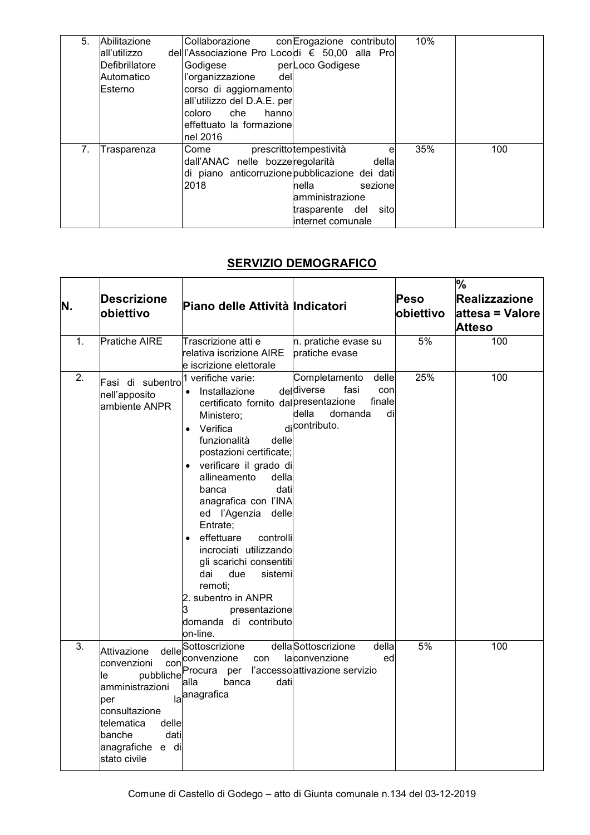| 5.             | Abilitazione   | 10%<br>conErogazione contributo<br>Collaborazione |
|----------------|----------------|---------------------------------------------------|
|                | lall'utilizzo  | del l'Associazione Pro Locodi € 50,00 alla Pro    |
|                | Defibrillatore | perLoco Godigese<br>Godigese                      |
|                | Automatico     | l'organizzazione<br>del                           |
|                | Esterno        | corso di aggiornamento                            |
|                |                | all'utilizzo del D.A.E. per                       |
|                |                | coloro<br>che<br>hannol                           |
|                |                | effettuato la formazione                          |
|                |                | nel 2016                                          |
| 7 <sub>1</sub> | Trasparenza    | 35%<br>100<br>prescrittotempestività<br>Come<br>e |
|                |                | dall'ANAC nelle bozzeregolarità<br>della          |
|                |                | di piano anticorruzione pubblicazione dei dati    |
|                |                | 2018<br>nella<br>sezionel                         |
|                |                | amministrazione                                   |
|                |                | sito<br>trasparente del                           |
|                |                | internet comunale                                 |

### **SERVIZIO DEMOGRAFICO**

| N. | <b>Descrizione</b><br>obiettivo                                                                                                                                       | Piano delle Attività Indicatori                                                                                                                                                                                                                                                                                                                                                                                                                                                                                      |                                                                                                          | Peso<br>obiettivo | %<br>Realizzazione<br>attesa = Valore<br><b>Atteso</b> |
|----|-----------------------------------------------------------------------------------------------------------------------------------------------------------------------|----------------------------------------------------------------------------------------------------------------------------------------------------------------------------------------------------------------------------------------------------------------------------------------------------------------------------------------------------------------------------------------------------------------------------------------------------------------------------------------------------------------------|----------------------------------------------------------------------------------------------------------|-------------------|--------------------------------------------------------|
| 1. | Pratiche AIRE                                                                                                                                                         | Trascrizione atti e<br>relativa iscrizione AIRE<br>e iscrizione elettorale                                                                                                                                                                                                                                                                                                                                                                                                                                           | n. pratiche evase su<br>pratiche evase                                                                   | 5%                | 100                                                    |
| 2. | Fasi di subentro<br>nell'apposito<br>ambiente ANPR                                                                                                                    | 1 verifiche varie:<br>• Installazione<br>certificato fornito dal presentazione<br>Ministero;<br>Verifica<br>$\bullet$<br>funzionalità<br>delle<br>postazioni certificate;<br>· verificare il grado di<br>allineamento<br>della<br>dati<br>banca<br>anagrafica con l'INA<br>ed l'Agenzia<br>delle<br>Entrate;<br>• effettuare<br>controlli<br>incrociati utilizzando<br>gli scarichi consentiti<br>due<br>sistemi<br>dai<br>remoti;<br>2. subentro in ANPR<br>3<br>presentazione<br>domanda di contributo<br>on-line. | Completamento<br>delle<br>deldiverse<br>fasi<br>con<br>finale<br>della<br>domanda<br>di<br>dicontributo. | 25%               | 100                                                    |
| 3. | Attivazione<br>convenzioni<br>pubbliche<br>le<br>amministrazioni<br>per<br>consultazione<br>delle<br>telematica<br>banche<br>dati<br>anagrafiche e di<br>stato civile | delle <sup>Sottoscrizione</sup><br>conconvenzione<br>con<br>Procura per l'accesso attivazione servizio<br>banca<br>dati<br>alla<br>la anagrafica                                                                                                                                                                                                                                                                                                                                                                     | dellaSottoscrizione<br>della<br>laconvenzione<br>ed                                                      | 5%                | 100                                                    |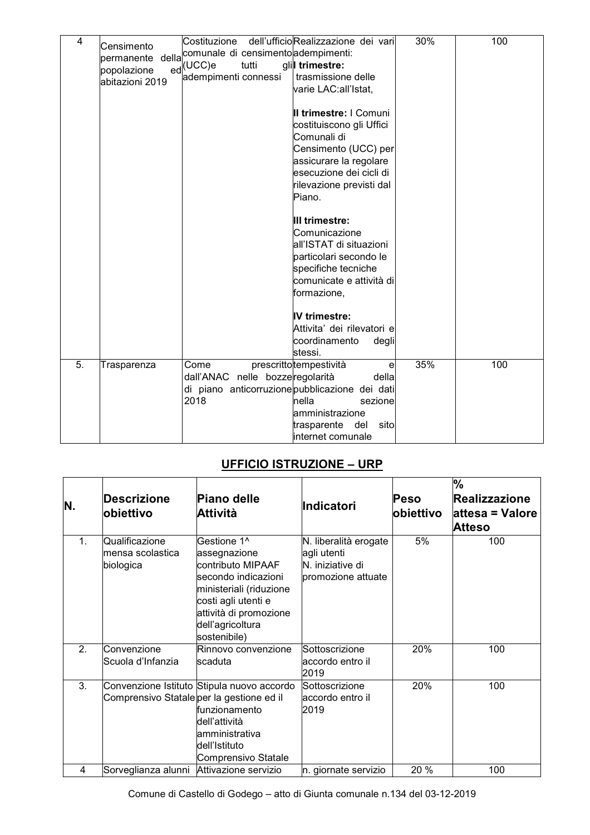| 4  | Censimento<br>permanente<br>popolazione<br>abitazioni 2019 | Costituzione<br>della comunale di censimento adempimenti:<br>ed <sup>(UCC)e</sup><br>tutti<br>adempimenti connessi | dell'ufficioRealizzazione dei vari<br>glil trimestre:<br>trasmissione delle<br>varie LAC:all'Istat,<br>Il trimestre: I Comuni<br>costituiscono gli Uffici<br>Comunali di<br>Censimento (UCC) per<br>assicurare la regolare<br>esecuzione dei cicli di<br>rilevazione previsti dal | 30% | 100 |
|----|------------------------------------------------------------|--------------------------------------------------------------------------------------------------------------------|-----------------------------------------------------------------------------------------------------------------------------------------------------------------------------------------------------------------------------------------------------------------------------------|-----|-----|
|    |                                                            |                                                                                                                    | Piano.<br>III trimestre:<br>Comunicazione<br>all'ISTAT di situazioni<br>particolari secondo le<br>specifiche tecniche<br>comunicate e attività di<br>formazione,<br><b>IV</b> trimestre:<br>Attivita' dei rilevatori e<br>coordinamento<br>degli<br>stessi.                       |     |     |
| 5. | Trasparenza                                                | Come<br>dall'ANAC nelle bozzeregolarità<br>di piano anticorruzione pubblicazione dei dati<br>2018                  | prescrittotempestività<br>$\mathbf{e}$<br>della<br>nella<br>sezione<br>amministrazione<br>trasparente<br>del<br>sito<br>internet comunale                                                                                                                                         | 35% | 100 |

### UFFICIO ISTRUZIONE - URP

| N.             | <b>Descrizione</b><br><b>lobiettivo</b>         | <b>Piano delle</b><br>Attività                                                                                                                                                          | Indicatori                                                                     | Peso<br>obiettivo | $\frac{1}{6}$<br><b>Realizzazione</b><br>attesa = Valore<br><b>Atteso</b> |
|----------------|-------------------------------------------------|-----------------------------------------------------------------------------------------------------------------------------------------------------------------------------------------|--------------------------------------------------------------------------------|-------------------|---------------------------------------------------------------------------|
| 1 <sub>1</sub> | Qualificazione<br>mensa scolastica<br>biologica | Gestione 1^<br>assegnazione<br>contributo MIPAAF<br>secondo indicazioni<br>ministeriali (riduzione<br>costi agli utenti e<br>attività di promozione<br>dell'agricoltura<br>sostenibile) | N. liberalità erogate<br>agli utenti<br>N. iniziative di<br>promozione attuate | 5%                | 100                                                                       |
| 2.             | Convenzione<br>Scuola d'Infanzia                | Rinnovo convenzione<br>scaduta                                                                                                                                                          | Sottoscrizione<br>accordo entro il<br>2019                                     | 20%               | 100                                                                       |
| 3.             | Comprensivo Statale per la gestione ed il       | Convenzione Istituto Stipula nuovo accordo<br>funzionamento<br>dell'attività<br>lamministrativa<br>dell'Istituto<br>Comprensivo Statale                                                 | Sottoscrizione<br>laccordo entro il<br>2019                                    | 20%               | 100                                                                       |
| 4              | Sorveglianza alunni                             | Attivazione servizio                                                                                                                                                                    | n. giornate servizio                                                           | 20 %              | 100                                                                       |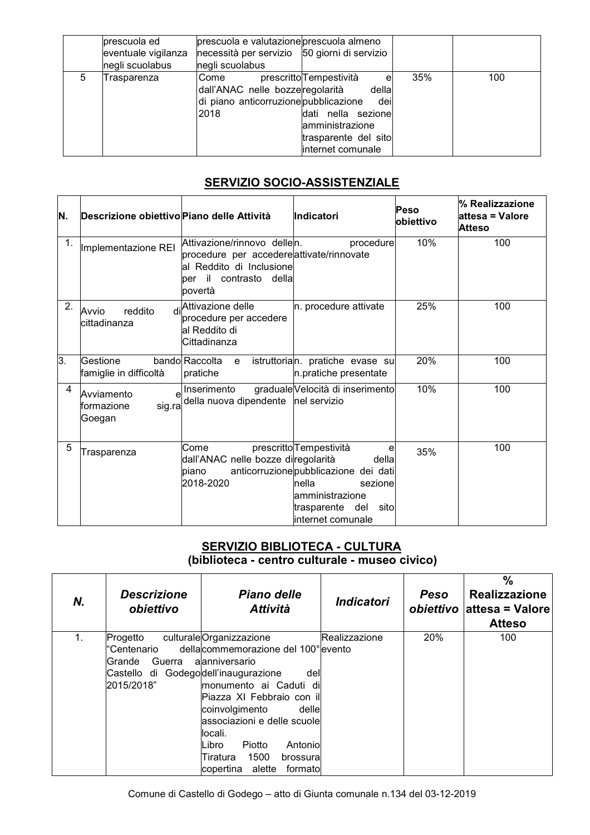|   | prescuola ed        | prescuola e valutazione prescuola almeno     |                                            |     |     |
|---|---------------------|----------------------------------------------|--------------------------------------------|-----|-----|
|   | eventuale vigilanza | necessità per servizio 50 giorni di servizio |                                            |     |     |
|   | negli scuolabus     | negli scuolabus                              |                                            |     |     |
| 5 | Trasparenza         | Come                                         | prescritto <sup>T</sup> empestività<br>e l | 35% | 100 |
|   |                     | dall'ANAC nelle bozzeregolarità              | della                                      |     |     |
|   |                     | di piano anticorruzione pubblicazione        | dei                                        |     |     |
|   |                     | 2018                                         | dati nella sezione                         |     |     |
|   |                     |                                              | amministrazione                            |     |     |
|   |                     |                                              | trasparente del sito                       |     |     |
|   |                     |                                              | internet comunale                          |     |     |

# **SERVIZIO SOCIO-ASSISTENZIALE**

| N. | Descrizione obiettivo Piano delle Attività                   |                                                                                                                                             | <b>Indicatori</b>                                                                                                                                                                   | Peso<br>obiettivo | % Realizzazione<br>attesa = Valore<br>Atteso |
|----|--------------------------------------------------------------|---------------------------------------------------------------------------------------------------------------------------------------------|-------------------------------------------------------------------------------------------------------------------------------------------------------------------------------------|-------------------|----------------------------------------------|
| 1. | Implementazione REI                                          | Attivazione/rinnovo dellen.<br>procedure per accedereattivate/rinnovate<br>al Reddito di Inclusione<br>il contrasto della<br>per<br>povertà | procedure                                                                                                                                                                           | 10%               | 100                                          |
| 2. | reddito<br>Avvio<br>cittadinanza                             | di Attivazione delle<br>procedure per accedere<br>lal Reddito di<br>Cittadinanza                                                            | n. procedure attivate                                                                                                                                                               | 25%               | 100                                          |
| 3. | Gestione<br>famiglie in difficoltà                           | bando Raccolta<br>e<br>pratiche                                                                                                             | istruttorian. pratiche evase su<br>n.pratiche presentate                                                                                                                            | 20%               | 100                                          |
| 4  | $\mathbf{e}$<br>Avviamento<br>sig.ra<br>formazione<br>Goegan | Inserimento<br>della nuova dipendente                                                                                                       | graduale Velocità di inserimento<br>nel servizio                                                                                                                                    | 10%               | 100                                          |
| 5  | Trasparenza                                                  | Come<br>dall'ANAC nelle bozze diregolarità<br>piano<br>2018-2020                                                                            | prescritto <sup>T</sup> empestività<br>е<br>della<br>anticorruzione pubblicazione dei dati<br>nella<br>sezione<br>lamministrazione<br>trasparente del<br>sito<br>linternet comunale | 35%               | 100                                          |

# SERVIZIO BIBLIOTECA - CULTURA<br>(biblioteca - centro culturale - museo civico)

| Ν. | <b>Descrizione</b><br>obiettivo      | Piano delle<br><b>Attività</b>        | <i><b>Indicatori</b></i> | Peso | %<br><b>Realizzazione</b><br><i>obiettivo</i> lattesa = Valore<br><b>Atteso</b> |
|----|--------------------------------------|---------------------------------------|--------------------------|------|---------------------------------------------------------------------------------|
|    | Progetto                             | culturaleOrganizzazione               | Realizzazione            | 20%  | 100                                                                             |
|    | "Centenario                          | della commemorazione del 100° levento |                          |      |                                                                                 |
|    | Grande<br>Guerra                     | alanniversario                        |                          |      |                                                                                 |
|    | Castello di Godegodell'inaugurazione | del                                   |                          |      |                                                                                 |
|    | 2015/2018"                           | monumento ai Caduti<br>di             |                          |      |                                                                                 |
|    |                                      | lPiazza XI Febbraio con ill           |                          |      |                                                                                 |
|    |                                      | coinvolgimento<br>dellel              |                          |      |                                                                                 |
|    |                                      | associazioni e delle scuole           |                          |      |                                                                                 |
|    |                                      | locali.                               |                          |      |                                                                                 |
|    |                                      | Antonio<br>Piotto<br>Libro            |                          |      |                                                                                 |
|    |                                      | 1500<br>Tiratura<br>brossura          |                          |      |                                                                                 |
|    |                                      | lcopertina<br>alette<br>formatol      |                          |      |                                                                                 |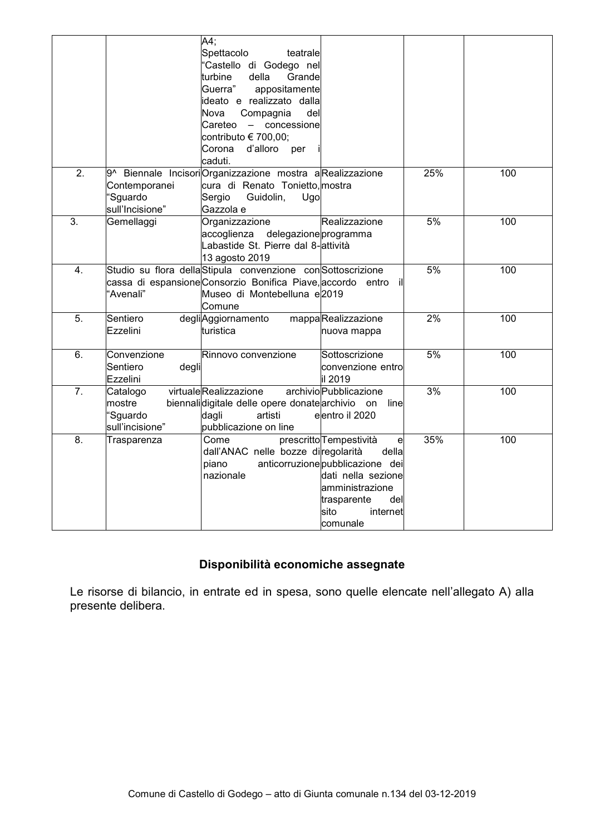|                  |                   | A4;                                                          |                                  |     |     |
|------------------|-------------------|--------------------------------------------------------------|----------------------------------|-----|-----|
|                  |                   | Spettacolo<br>teatrale                                       |                                  |     |     |
|                  |                   | 'Castello di Godego nel                                      |                                  |     |     |
|                  |                   | turbine<br>della<br>Grande                                   |                                  |     |     |
|                  |                   | Guerra"<br>appositamente                                     |                                  |     |     |
|                  |                   | ideato e realizzato dalla                                    |                                  |     |     |
|                  |                   | Nova<br>Compagnia<br>del                                     |                                  |     |     |
|                  |                   | - concessione<br>Careteo                                     |                                  |     |     |
|                  |                   | contributo € 700,00;                                         |                                  |     |     |
|                  |                   | d'alloro<br>Corona<br>per                                    |                                  |     |     |
|                  |                   | caduti.                                                      |                                  |     |     |
| $\overline{2}$ . |                   | 9^ Biennale IncisoriOrganizzazione mostra aRealizzazione     |                                  | 25% | 100 |
|                  | Contemporanei     | cura di Renato Tonietto, mostra                              |                                  |     |     |
|                  | Sguardo           | Sergio<br>Guidolin,<br>Ugo                                   |                                  |     |     |
|                  | sull'Incisione"   | Gazzola e                                                    |                                  |     |     |
| $\overline{3}$ . | Gemellaggi        | Organizzazione                                               | Realizzazione                    | 5%  | 100 |
|                  |                   | accoglienza<br>delegazione programma                         |                                  |     |     |
|                  |                   | Labastide St. Pierre dal 8-attività                          |                                  |     |     |
|                  |                   | 13 agosto 2019                                               |                                  |     |     |
| 4.               |                   | Studio su flora della Stipula convenzione con Sottoscrizione |                                  | 5%  | 100 |
|                  |                   | cassa di espansione Consorzio Bonifica Piave, accordo entro  | ill                              |     |     |
|                  | 'Avenali"         | Museo di Montebelluna e2019                                  |                                  |     |     |
|                  |                   | Comune                                                       |                                  |     |     |
| 5.               | Sentiero          | degliAggiornamento                                           | mappaRealizzazione               | 2%  | 100 |
|                  | Ezzelini          | turistica                                                    | nuova mappa                      |     |     |
|                  |                   |                                                              |                                  |     |     |
| 6.               | Convenzione       | Rinnovo convenzione                                          | Sottoscrizione                   | 5%  | 100 |
|                  | Sentiero<br>degli |                                                              | convenzione entro                |     |     |
|                  |                   |                                                              |                                  |     |     |
|                  | Ezzelini          |                                                              | il 2019                          |     |     |
| $\overline{7}$ . | Catalogo          | virtualeRealizzazione                                        | archivioPubblicazione            | 3%  | 100 |
|                  | mostre            | biennalidigitale delle opere donate archivio on              | line                             |     |     |
|                  | <b>Sguardo</b>    | dagli<br>artisti                                             | elentro il 2020                  |     |     |
|                  | sull'incisione"   | pubblicazione on line                                        |                                  |     |     |
| 8.               | Trasparenza       | Come                                                         | prescritto Tempestività<br>e     | 35% | 100 |
|                  |                   | dall'ANAC nelle bozze diregolarità                           | della                            |     |     |
|                  |                   | piano                                                        | anticorruzione pubblicazione dei |     |     |
|                  |                   | nazionale                                                    | dati nella sezione               |     |     |
|                  |                   |                                                              | amministrazione                  |     |     |
|                  |                   |                                                              | trasparente<br>dell              |     |     |
|                  |                   |                                                              | sito<br>internet                 |     |     |
|                  |                   |                                                              | comunale                         |     |     |

# Disponibilità economiche assegnate

Le risorse di bilancio, in entrate ed in spesa, sono quelle elencate nell'allegato A) alla presente delibera.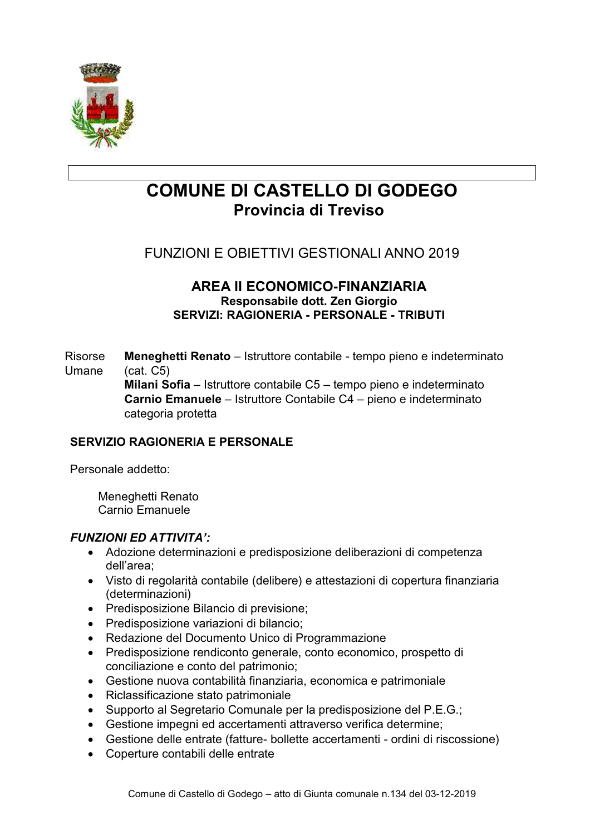

# **COMUNE DI CASTELLO DI GODEGO** Provincia di Treviso

# **FUNZIONI E OBIETTIVI GESTIONALI ANNO 2019**

#### AREA II ECONOMICO-FINANZIARIA Responsabile dott. Zen Giorgio **SERVIZI: RAGIONERIA - PERSONALE - TRIBUTI**

Risorse Meneghetti Renato - Istruttore contabile - tempo pieno e indeterminato Umane  $(cat. C5)$ 

Milani Sofia - Istruttore contabile C5 - tempo pieno e indeterminato Carnio Emanuele - Istruttore Contabile C4 - pieno e indeterminato categoria protetta

#### **SERVIZIO RAGIONERIA E PERSONALE**

Personale addetto:

Meneghetti Renato Carnio Emanuele

- Adozione determinazioni e predisposizione deliberazioni di competenza dell'area;
- Visto di regolarità contabile (delibere) e attestazioni di copertura finanziaria (determinazioni)
- Predisposizione Bilancio di previsione;
- Predisposizione variazioni di bilancio;
- Redazione del Documento Unico di Programmazione
- Predisposizione rendiconto generale, conto economico, prospetto di conciliazione e conto del patrimonio;
- Gestione nuova contabilità finanziaria, economica e patrimoniale
- Riclassificazione stato patrimoniale
- Supporto al Segretario Comunale per la predisposizione del P.E.G.;
- Gestione impegni ed accertamenti attraverso verifica determine;
- Gestione delle entrate (fatture- bollette accertamenti ordini di riscossione)
- Coperture contabili delle entrate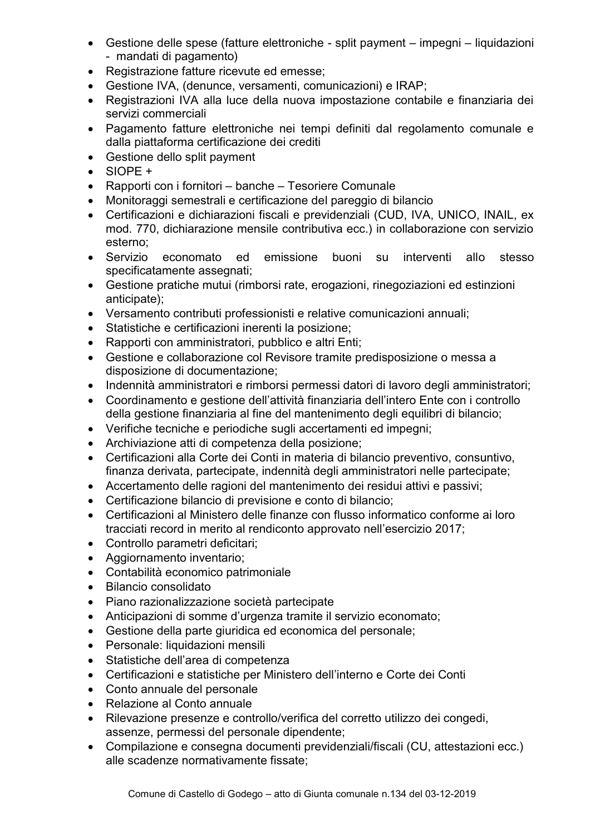- Gestione delle spese (fatture elettroniche split payment impegni liquidazioni - mandati di pagamento)
- Registrazione fatture ricevute ed emesse;
- Gestione IVA, (denunce, versamenti, comunicazioni) e IRAP;
- Registrazioni IVA alla luce della nuova impostazione contabile e finanziaria dei servizi commerciali
- Pagamento fatture elettroniche nei tempi definiti dal regolamento comunale e dalla piattaforma certificazione dei crediti
- Gestione dello split payment
- $\bullet$  SIOPE +
- Rapporti con i fornitori banche Tesoriere Comunale
- Monitoraggi semestrali e certificazione del pareggio di bilancio
- Certificazioni e dichiarazioni fiscali e previdenziali (CUD, IVA, UNICO, INAIL, ex mod. 770, dichiarazione mensile contributiva ecc.) in collaborazione con servizio esterno:
- Servizio economato ed emissione buoni su interventi allo stesso specificatamente assegnati;
- Gestione pratiche mutui (rimborsi rate, erogazioni, rinegoziazioni ed estinzioni anticipate):
- Versamento contributi professionisti e relative comunicazioni annuali;
- Statistiche e certificazioni inerenti la posizione;
- Rapporti con amministratori, pubblico e altri Enti:
- Gestione e collaborazione col Revisore tramite predisposizione o messa a disposizione di documentazione:
- · Indennità amministratori e rimborsi permessi datori di lavoro degli amministratori;
- Coordinamento e gestione dell'attività finanziaria dell'intero Ente con i controllo della gestione finanziaria al fine del mantenimento degli equilibri di bilancio;
- Verifiche tecniche e periodiche sugli accertamenti ed impegni;
- Archiviazione atti di competenza della posizione:
- Certificazioni alla Corte dei Conti in materia di bilancio preventivo, consuntivo, finanza derivata, partecipate, indennità degli amministratori nelle partecipate;
- Accertamento delle ragioni del mantenimento dei residui attivi e passivi;
- Certificazione bilancio di previsione e conto di bilancio:
- Certificazioni al Ministero delle finanze con flusso informatico conforme ai loro tracciati record in merito al rendiconto approvato nell'esercizio 2017;
- Controllo parametri deficitari;
- Aggiornamento inventario;
- Contabilità economico patrimoniale
- · Bilancio consolidato
- Piano razionalizzazione società partecipate
- Anticipazioni di somme d'urgenza tramite il servizio economato:
- Gestione della parte giuridica ed economica del personale;
- Personale: liquidazioni mensili
- Statistiche dell'area di competenza
- Certificazioni e statistiche per Ministero dell'interno e Corte dei Conti
- Conto annuale del personale
- Relazione al Conto annuale
- Rilevazione presenze e controllo/verifica del corretto utilizzo dei congedi, assenze, permessi del personale dipendente;
- Compilazione e consegna documenti previdenziali/fiscali (CU, attestazioni ecc.) alle scadenze normativamente fissate;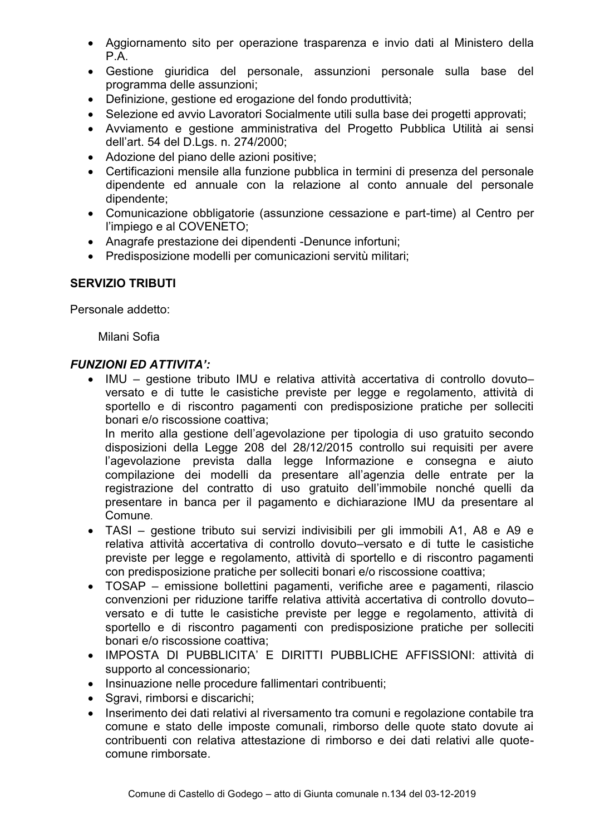- Aggiornamento sito per operazione trasparenza e invio dati al Ministero della  $P.A.$
- Gestione giuridica del personale, assunzioni personale sulla base del programma delle assunzioni:
- Definizione, gestione ed erogazione del fondo produttività;
- Selezione ed avvio Lavoratori Socialmente utili sulla base dei progetti approvati;
- Avviamento e gestione amministrativa del Progetto Pubblica Utilità ai sensi dell'art. 54 del D.Lgs. n. 274/2000;
- Adozione del piano delle azioni positive;
- Certificazioni mensile alla funzione pubblica in termini di presenza del personale dipendente ed annuale con la relazione al conto annuale del personale dipendente;
- Comunicazione obbligatorie (assunzione cessazione e part-time) al Centro per l'impiego e al COVENETO;
- Anagrafe prestazione dei dipendenti -Denunce infortuni:
- Predisposizione modelli per comunicazioni servitù militari:

#### **SERVIZIO TRIBUTI**

Personale addetto:

Milani Sofia

#### **FUNZIONI ED ATTIVITA':**

• IMU – gestione tributo IMU e relativa attività accertativa di controllo dovuto– versato e di tutte le casistiche previste per legge e regolamento, attività di sportello e di riscontro pagamenti con predisposizione pratiche per solleciti bonari e/o riscossione coattiva:

In merito alla gestione dell'agevolazione per tipologia di uso gratuito secondo disposizioni della Legge 208 del 28/12/2015 controllo sui reguisiti per avere l'agevolazione prevista dalla legge Informazione e consegna e aiuto compilazione dei modelli da presentare all'agenzia delle entrate per la registrazione del contratto di uso gratuito dell'immobile nonché quelli da presentare in banca per il pagamento e dichiarazione IMU da presentare al Comune.

- TASI gestione tributo sui servizi indivisibili per gli immobili A1, A8 e A9 e relativa attività accertativa di controllo dovuto-versato e di tutte le casistiche previste per legge e regolamento, attività di sportello e di riscontro pagamenti con predisposizione pratiche per solleciti bonari e/o riscossione coattiva;
- TOSAP emissione bollettini pagamenti, verifiche aree e pagamenti, rilascio convenzioni per riduzione tariffe relativa attività accertativa di controllo dovutoversato e di tutte le casistiche previste per legge e regolamento, attività di sportello e di riscontro pagamenti con predisposizione pratiche per solleciti bonari e/o riscossione coattiva:
- · IMPOSTA DI PUBBLICITA' E DIRITTI PUBBLICHE AFFISSIONI: attività di supporto al concessionario;
- Insinuazione nelle procedure fallimentari contribuenti;
- Sqravi, rimborsi e discarichi;
- · Inserimento dei dati relativi al riversamento tra comuni e regolazione contabile tra comune e stato delle imposte comunali, rimborso delle quote stato dovute ai contribuenti con relativa attestazione di rimborso e dei dati relativi alle quotecomune rimborsate.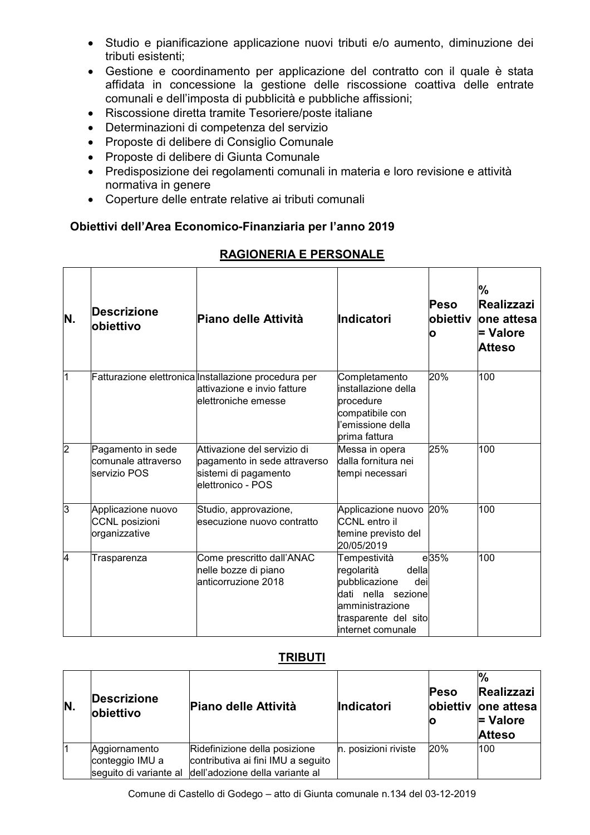- · Studio e pianificazione applicazione nuovi tributi e/o aumento, diminuzione dei tributi esistenti:
- Gestione e coordinamento per applicazione del contratto con il quale è stata affidata in concessione la gestione delle riscossione coattiva delle entrate comunali e dell'imposta di pubblicità e pubbliche affissioni;
- Riscossione diretta tramite Tesoriere/poste italiane
- Determinazioni di competenza del servizio
- Proposte di delibere di Consiglio Comunale
- Proposte di delibere di Giunta Comunale
- Predisposizione dei regolamenti comunali in materia e loro revisione e attività normativa in genere
- Coperture delle entrate relative ai tributi comunali

#### Obiettivi dell'Area Economico-Finanziaria per l'anno 2019

| N.             | <b>Descrizione</b><br>obiettivo                              | Piano delle Attività                                                                                        | Indicatori                                                                                                                                             | <b>Peso</b><br>lobiettiv<br>O | %<br>Realizzazi<br>lone attesa<br>= Valore<br>Atteso |
|----------------|--------------------------------------------------------------|-------------------------------------------------------------------------------------------------------------|--------------------------------------------------------------------------------------------------------------------------------------------------------|-------------------------------|------------------------------------------------------|
| 1              |                                                              | Fatturazione elettronica Installazione procedura per<br>lattivazione e invio fatture<br>elettroniche emesse | Completamento<br>installazione della<br>procedure<br>compatibile con<br>l'emissione della<br>prima fattura                                             | 20%                           | 100                                                  |
| $\overline{2}$ | Pagamento in sede<br>comunale attraverso<br>servizio POS     | Attivazione del servizio di<br>pagamento in sede attraverso<br>sistemi di pagamento<br>elettronico - POS    | Messa in opera<br>dalla fornitura nei<br>tempi necessari                                                                                               | 25%                           | 100                                                  |
| 3              | Applicazione nuovo<br><b>CCNL</b> posizioni<br>organizzative | Studio, approvazione,<br>esecuzione nuovo contratto                                                         | Applicazione nuovo 20%<br><b>CCNL</b> entro il<br>temine previsto del<br>20/05/2019                                                                    |                               | 100                                                  |
| 4              | Trasparenza                                                  | Come prescritto dall'ANAC<br>nelle bozze di piano<br>anticorruzione 2018                                    | Tempestività<br>regolarità<br>della<br>pubblicazione<br>dei<br>nella sezione<br>dati<br>lamministrazione<br>trasparente del sito<br>linternet comunale | e35%                          | 100                                                  |

#### **RAGIONERIA E PERSONALE**

#### **TRIBUTI**

| N. | <b>Descrizione</b><br>obiettivo                            | Piano delle Attività                                                                                   | <b>Indicatori</b>    | <b>Peso</b><br>objettiv | $\frac{1}{2}$<br>Realizzazi<br>lone attesa<br>$=$ Valore<br><b>Atteso</b> |
|----|------------------------------------------------------------|--------------------------------------------------------------------------------------------------------|----------------------|-------------------------|---------------------------------------------------------------------------|
|    | Aggiornamento<br>conteggio IMU a<br>seguito di variante al | Ridefinizione della posizione<br>contributiva ai fini IMU a seguito<br>dell'adozione della variante al | n. posizioni riviste | 20%                     | 100                                                                       |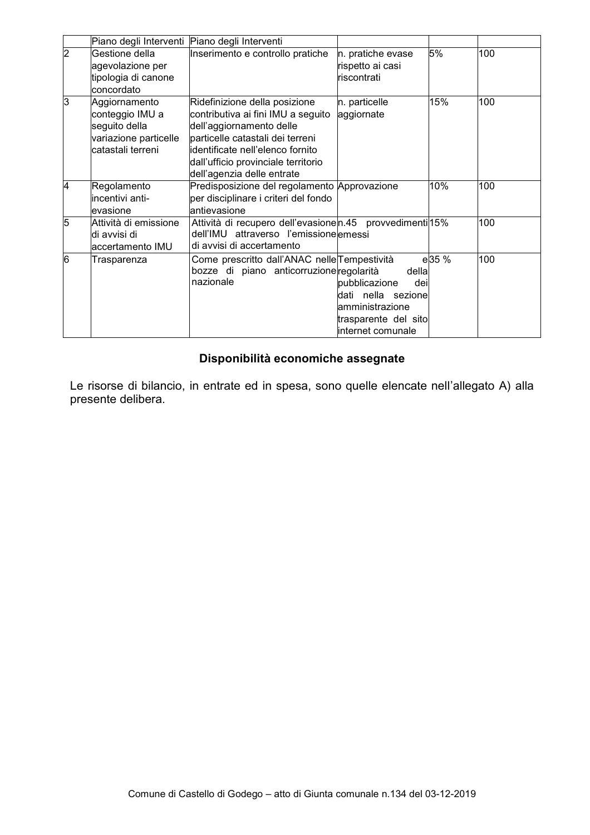|                | Piano degli Interventi Piano degli Interventi                                                   |                                                                                                                                                                                                                                               |                                                                                                                       |       |     |
|----------------|-------------------------------------------------------------------------------------------------|-----------------------------------------------------------------------------------------------------------------------------------------------------------------------------------------------------------------------------------------------|-----------------------------------------------------------------------------------------------------------------------|-------|-----|
| $\overline{2}$ | Gestione della<br>agevolazione per<br>tipologia di canone<br>concordato                         | Inserimento e controllo pratiche                                                                                                                                                                                                              | n. pratiche evase<br>rispetto ai casi<br>riscontrati                                                                  | 5%    | 100 |
| 3              | Aggiornamento<br>conteggio IMU a<br>seguito della<br>variazione particelle<br>catastali terreni | Ridefinizione della posizione<br>contributiva ai fini IMU a seguito<br>dell'aggiornamento delle<br>particelle catastali dei terreni<br>lidentificate nell'elenco fornito<br>dall'ufficio provinciale territorio<br>dell'agenzia delle entrate | n. particelle<br>aggiornate                                                                                           | 15%   | 100 |
| 4              | Regolamento<br>lincentivi anti-<br>evasione                                                     | Predisposizione del regolamento Approvazione<br>per disciplinare i criteri del fondo<br>lantievasione                                                                                                                                         |                                                                                                                       | 10%   | 100 |
| 5              | Attività di emissione<br>di avvisi di<br>accertamento IMU                                       | Attività di recupero dell'evasionen 45 provvedimenti 15%<br>dell'IMU attraverso l'emissionelemessi<br>di avvisi di accertamento                                                                                                               |                                                                                                                       |       | 100 |
| 6              | Trasparenza                                                                                     | Come prescritto dall'ANAC nelle Tempestività<br>bozze di piano anticorruzione regolarità<br>nazionale                                                                                                                                         | della<br>pubblicazione<br>deil<br>dati nella sezione<br>lamministrazione<br>trasparente del sito<br>internet comunale | e35 % | 100 |

# Disponibilità economiche assegnate

Le risorse di bilancio, in entrate ed in spesa, sono quelle elencate nell'allegato A) alla presente delibera.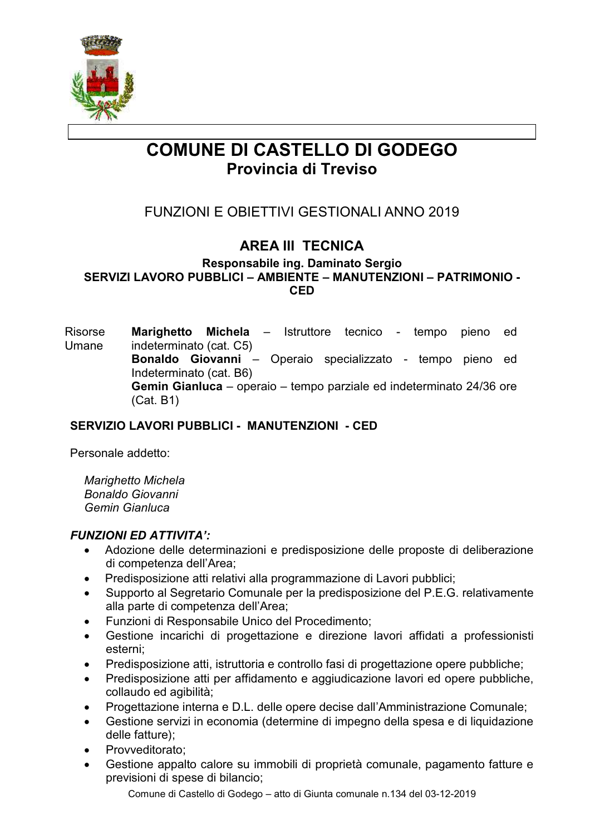

# **COMUNE DI CASTELLO DI GODEGO** Provincia di Treviso

# **FUNZIONI E OBIETTIVI GESTIONALI ANNO 2019**

# **AREA III TECNICA**

Responsabile ing. Daminato Sergio SERVIZI LAVORO PUBBLICI - AMBIENTE - MANUTENZIONI - PATRIMONIO -**CFD** 

**Risorse** Marighetto Michela - Istruttore tecnico tempo pieno ed Umane indeterminato (cat. C5) Bonaldo Giovanni - Operaio specializzato - tempo pieno ed Indeterminato (cat. B6) Gemin Gianluca – operaio – tempo parziale ed indeterminato 24/36 ore  $(Cat. B1)$ 

#### SERVIZIO LAVORI PUBBLICI - MANUTENZIONI - CED

Personale addetto:

**Marighetto Michela** Bonaldo Giovanni Gemin Gianluca

#### **FUNZIONI ED ATTIVITA':**

- Adozione delle determinazioni e predisposizione delle proposte di deliberazione  $\bullet$ di competenza dell'Area:
- Predisposizione atti relativi alla programmazione di Lavori pubblici;
- Supporto al Segretario Comunale per la predisposizione del P.E.G. relativamente alla parte di competenza dell'Area;
- Funzioni di Responsabile Unico del Procedimento:
- Gestione incarichi di progettazione e direzione lavori affidati a professionisti  $\bullet$ esterni:
- Predisposizione atti, istruttoria e controllo fasi di progettazione opere pubbliche;
- Predisposizione atti per affidamento e aggiudicazione lavori ed opere pubbliche, collaudo ed agibilità:
- Progettazione interna e D.L. delle opere decise dall'Amministrazione Comunale;
- Gestione servizi in economia (determine di impegno della spesa e di liquidazione delle fatture):
- Provveditorato;
- Gestione appalto calore su immobili di proprietà comunale, pagamento fatture e  $\bullet$ previsioni di spese di bilancio;

Comune di Castello di Godego - atto di Giunta comunale n.134 del 03-12-2019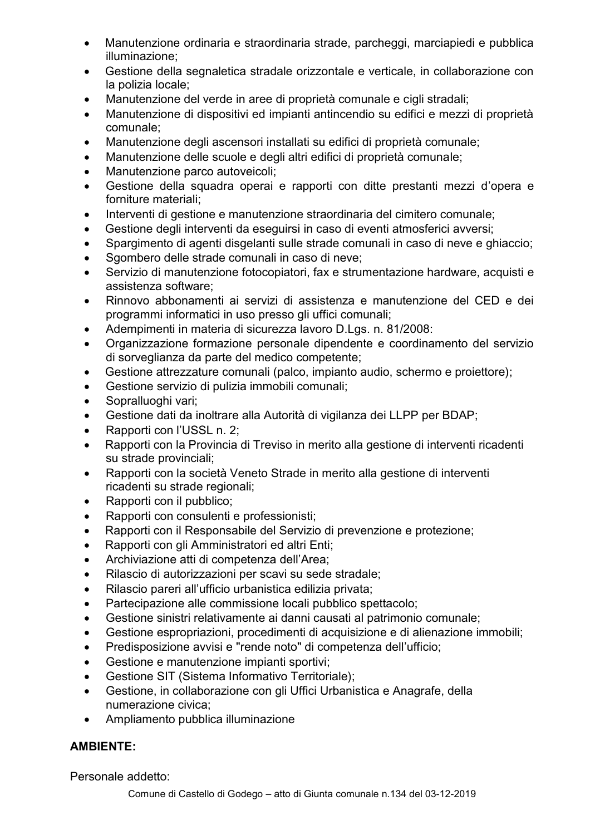- Manutenzione ordinaria e straordinaria strade, parcheggi, marciapiedi e pubblica  $\bullet$ illuminazione:
- Gestione della segnaletica stradale orizzontale e verticale, in collaborazione con  $\bullet$ la polizia locale:
- Manutenzione del verde in aree di proprietà comunale e cigli stradali;
- Manutenzione di dispositivi ed impianti antincendio su edifici e mezzi di proprietà comunale:
- Manutenzione degli ascensori installati su edifici di proprietà comunale;
- Manutenzione delle scuole e degli altri edifici di proprietà comunale;
- Manutenzione parco autoveicoli;
- Gestione della squadra operai e rapporti con ditte prestanti mezzi d'opera e forniture materiali;
- Interventi di gestione e manutenzione straordinaria del cimitero comunale;
- Gestione degli interventi da eseguirsi in caso di eventi atmosferici avversi;  $\bullet$
- Spargimento di agenti disgelanti sulle strade comunali in caso di neve e ghiaccio;
- Sgombero delle strade comunali in caso di neve:
- Servizio di manutenzione fotocopiatori, fax e strumentazione hardware, acquisti e assistenza software:
- Rinnovo abbonamenti ai servizi di assistenza e manutenzione del CED e dei programmi informatici in uso presso gli uffici comunali;
- Adempimenti in materia di sicurezza lavoro D.Lgs. n. 81/2008:
- Organizzazione formazione personale dipendente e coordinamento del servizio  $\bullet$ di sorveglianza da parte del medico competente;
- Gestione attrezzature comunali (palco, impianto audio, schermo e proiettore);
- Gestione servizio di pulizia immobili comunali:  $\bullet$
- Sopralluoghi vari;
- Gestione dati da inoltrare alla Autorità di vigilanza dei LLPP per BDAP;
- Rapporti con l'USSL n. 2;  $\bullet$
- Rapporti con la Provincia di Treviso in merito alla gestione di interventi ricadenti su strade provinciali;
- Rapporti con la società Veneto Strade in merito alla gestione di interventi  $\bullet$ ricadenti su strade regionali;
- Rapporti con il pubblico;
- Rapporti con consulenti e professionisti:
- Rapporti con il Responsabile del Servizio di prevenzione e protezione;  $\bullet$
- Rapporti con gli Amministratori ed altri Enti;
- Archiviazione atti di competenza dell'Area;
- Rilascio di autorizzazioni per scavi su sede stradale;  $\bullet$
- Rilascio pareri all'ufficio urbanistica edilizia privata;
- Partecipazione alle commissione locali pubblico spettacolo;
- Gestione sinistri relativamente ai danni causati al patrimonio comunale;
- Gestione espropriazioni, procedimenti di acquisizione e di alienazione immobili;
- Predisposizione avvisi e "rende noto" di competenza dell'ufficio;
- Gestione e manutenzione impianti sportivi;
- Gestione SIT (Sistema Informativo Territoriale);
- Gestione, in collaborazione con gli Uffici Urbanistica e Anagrafe, della  $\bullet$ numerazione civica;
- Ampliamento pubblica illuminazione  $\bullet$

# **AMBIENTE:**

Personale addetto: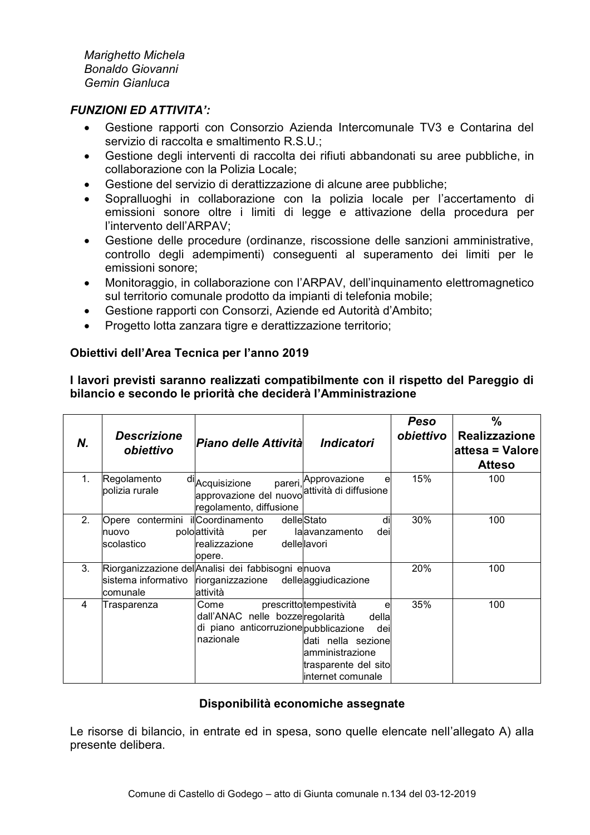Marighetto Michela Bonaldo Giovanni Gemin Gianluca

#### **FUNZIONI ED ATTIVITA':**

- Gestione rapporti con Consorzio Azienda Intercomunale TV3 e Contarina del  $\bullet$ servizio di raccolta e smaltimento R.S.U.;
- $\bullet$ Gestione degli interventi di raccolta dei rifiuti abbandonati su aree pubbliche, in collaborazione con la Polizia Locale:
- Gestione del servizio di derattizzazione di alcune aree pubbliche;
- Sopralluoghi in collaborazione con la polizia locale per l'accertamento di  $\bullet$ emissioni sonore oltre i limiti di legge e attivazione della procedura per l'intervento dell'ARPAV:
- Gestione delle procedure (ordinanze, riscossione delle sanzioni amministrative,  $\bullet$ controllo degli adempimenti) conseguenti al superamento dei limiti per le emissioni sonore:
- Monitoraggio, in collaborazione con l'ARPAV, dell'inquinamento elettromagnetico sul territorio comunale prodotto da impianti di telefonia mobile;
- Gestione rapporti con Consorzi, Aziende ed Autorità d'Ambito;
- Progetto lotta zanzara tigre e derattizzazione territorio:

#### Obiettivi dell'Area Tecnica per l'anno 2019

#### I lavori previsti saranno realizzati compatibilmente con il rispetto del Pareggio di bilancio e secondo le priorità che deciderà l'Amministrazione

| Ν.             | <b>Descrizione</b><br>obiettivo         | Piano delle Attività                                                                           | <i><b>Indicatori</b></i>                                                                                                            | Peso<br>obiettivo | $\frac{0}{0}$<br><b>Realizzazione</b><br>attesa = Valore<br><b>Atteso</b> |
|----------------|-----------------------------------------|------------------------------------------------------------------------------------------------|-------------------------------------------------------------------------------------------------------------------------------------|-------------------|---------------------------------------------------------------------------|
| $\mathbf{1}$ . | Regolamento<br>polizia rurale           | <sup>di</sup> Acquisizione<br>approvazione del nuovo<br>regolamento, diffusione                | pareri, Approvazione<br>е<br>attività di diffusione                                                                                 | 15%               | 100                                                                       |
| 2.             | Opere contermini<br>nuovo<br>scolastico | ilCoordinamento<br>poloattività<br>per<br>realizzazione<br>opere.                              | delleStato<br>di<br>lalavanzamento<br>deil<br>dellellavori                                                                          | 30%               | 100                                                                       |
| 3.             | sistema informativo<br>lcomunale        | Riorganizzazione del Analisi dei fabbisogni enuova<br>riorganizzazione<br>lattività            | delleaggiudicazione                                                                                                                 | 20%               | 100                                                                       |
| 4              | Trasparenza                             | Come<br>dall'ANAC nelle bozze regolarità<br>di piano anticorruzione pubblicazione<br>nazionale | prescrittotempestività<br>е<br>della<br>deil<br>dati nella sezione<br>amministrazione<br>trasparente del sitol<br>internet comunale | 35%               | 100                                                                       |

#### Disponibilità economiche assegnate

Le risorse di bilancio, in entrate ed in spesa, sono quelle elencate nell'allegato A) alla presente delibera.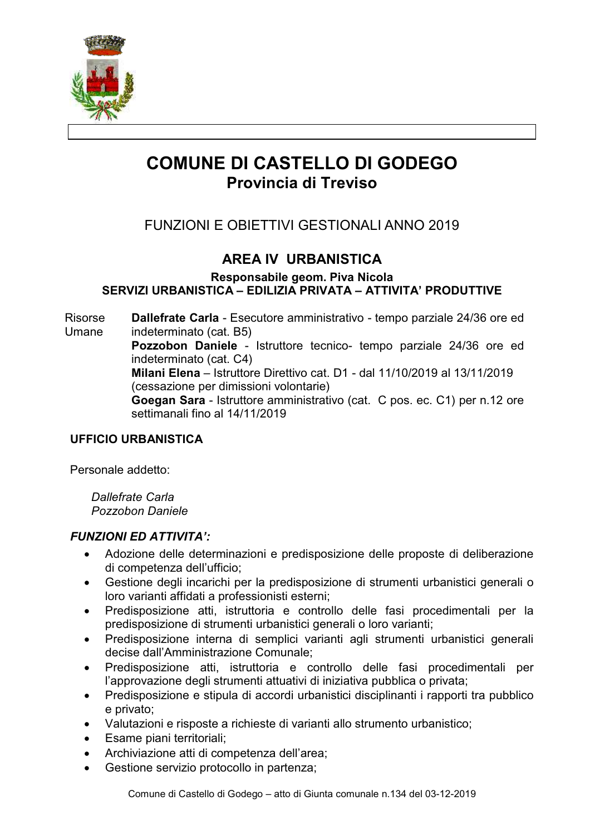

# **COMUNE DI CASTELLO DI GODEGO** Provincia di Treviso

# **FUNZIONI E OBIETTIVI GESTIONALI ANNO 2019**

# **AREA IV URBANISTICA**

Responsabile geom. Piva Nicola SERVIZI URBANISTICA - EDILIZIA PRIVATA - ATTIVITA' PRODUTTIVE

**Risorse** Dallefrate Carla - Esecutore amministrativo - tempo parziale 24/36 ore ed Umane indeterminato (cat. B5) Pozzobon Daniele - Istruttore tecnico- tempo parziale 24/36 ore ed indeterminato (cat. C4) Milani Elena - Istruttore Direttivo cat. D1 - dal 11/10/2019 al 13/11/2019 (cessazione per dimissioni volontarie) Goegan Sara - Istruttore amministrativo (cat. C pos. ec. C1) per n.12 ore settimanali fino al 14/11/2019

#### **UFFICIO URBANISTICA**

Personale addetto:

**Dallefrate Carla** Pozzobon Daniele

- Adozione delle determinazioni e predisposizione delle proposte di deliberazione  $\bullet$ di competenza dell'ufficio;
- Gestione degli incarichi per la predisposizione di strumenti urbanistici generali o  $\bullet$ loro varianti affidati a professionisti esterni;
- Predisposizione atti, istruttoria e controllo delle fasi procedimentali per la  $\bullet$ predisposizione di strumenti urbanistici generali o loro varianti;
- Predisposizione interna di semplici varianti agli strumenti urbanistici generali  $\bullet$ decise dall'Amministrazione Comunale;
- Predisposizione atti, istruttoria e controllo delle fasi procedimentali per  $\bullet$ l'approvazione degli strumenti attuativi di iniziativa pubblica o privata;
- Predisposizione e stipula di accordi urbanistici disciplinanti i rapporti tra pubblico e privato:
- Valutazioni e risposte a richieste di varianti allo strumento urbanistico;
- Esame piani territoriali;
- Archiviazione atti di competenza dell'area;  $\bullet$
- Gestione servizio protocollo in partenza;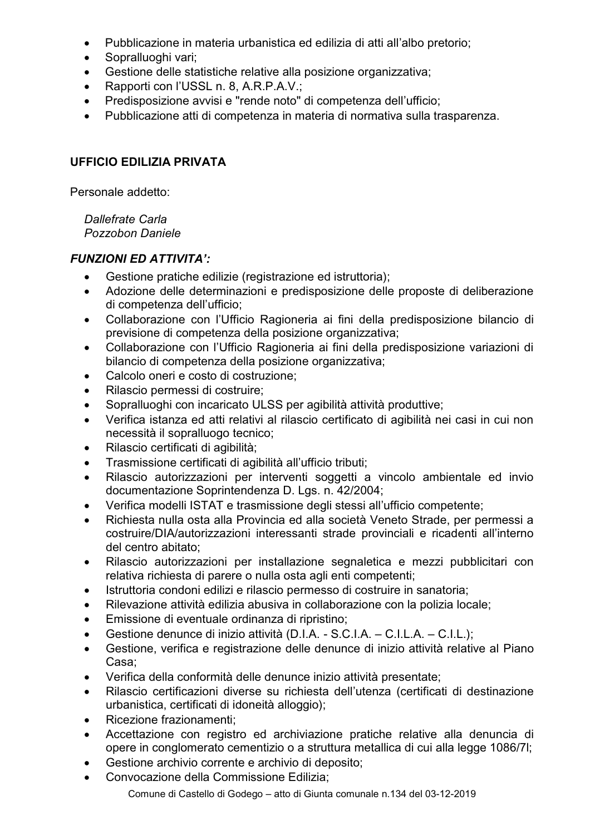- Pubblicazione in materia urbanistica ed edilizia di atti all'albo pretorio;  $\bullet$
- Sopralluoghi vari;
- Gestione delle statistiche relative alla posizione organizzativa:
- Rapporti con l'USSL n. 8, A.R.P.A.V.;
- Predisposizione avvisi e "rende noto" di competenza dell'ufficio;
- Pubblicazione atti di competenza in materia di normativa sulla trasparenza.  $\bullet$

### **UFFICIO EDILIZIA PRIVATA**

Personale addetto:

Dallefrate Carla Pozzobon Daniele

- Gestione pratiche edilizie (registrazione ed istruttoria);  $\bullet$
- Adozione delle determinazioni e predisposizione delle proposte di deliberazione  $\bullet$ di competenza dell'ufficio:
- Collaborazione con l'Ufficio Ragioneria ai fini della predisposizione bilancio di  $\bullet$ previsione di competenza della posizione organizzativa:
- Collaborazione con l'Ufficio Ragioneria ai fini della predisposizione variazioni di  $\bullet$ bilancio di competenza della posizione organizzativa;
- Calcolo oneri e costo di costruzione:
- Rilascio permessi di costruire;
- Sopralluoghi con incaricato ULSS per agibilità attività produttive;
- Verifica istanza ed atti relativi al rilascio certificato di agibilità nei casi in cui non necessità il sopralluogo tecnico;
- Rilascio certificati di agibilità;
- Trasmissione certificati di agibilità all'ufficio tributi;  $\bullet$
- Rilascio autorizzazioni per interventi soggetti a vincolo ambientale ed invio documentazione Soprintendenza D. Lgs. n. 42/2004;
- Verifica modelli ISTAT e trasmissione degli stessi all'ufficio competente;
- Richiesta nulla osta alla Provincia ed alla società Veneto Strade, per permessi a costruire/DIA/autorizzazioni interessanti strade provinciali e ricadenti all'interno del centro abitato;
- Rilascio autorizzazioni per installazione segnaletica e mezzi pubblicitari con  $\bullet$ relativa richiesta di parere o nulla osta agli enti competenti;
- Istruttoria condoni edilizi e rilascio permesso di costruire in sanatoria;
- Rilevazione attività edilizia abusiva in collaborazione con la polizia locale;
- Emissione di eventuale ordinanza di ripristino;  $\bullet$
- Gestione denunce di inizio attività (D.I.A. S.C.I.A. C.I.L.A. C.I.L.);
- Gestione, verifica e registrazione delle denunce di inizio attività relative al Piano  $\bullet$ Casa:
- Verifica della conformità delle denunce inizio attività presentate;
- Rilascio certificazioni diverse su richiesta dell'utenza (certificati di destinazione urbanistica, certificati di idoneità alloggio);
- Ricezione frazionamenti:  $\bullet$
- Accettazione con registro ed archiviazione pratiche relative alla denuncia di opere in conglomerato cementizio o a struttura metallica di cui alla legge 1086/71:
- Gestione archivio corrente e archivio di deposito;
- Convocazione della Commissione Edilizia:
	- Comune di Castello di Godego atto di Giunta comunale n.134 del 03-12-2019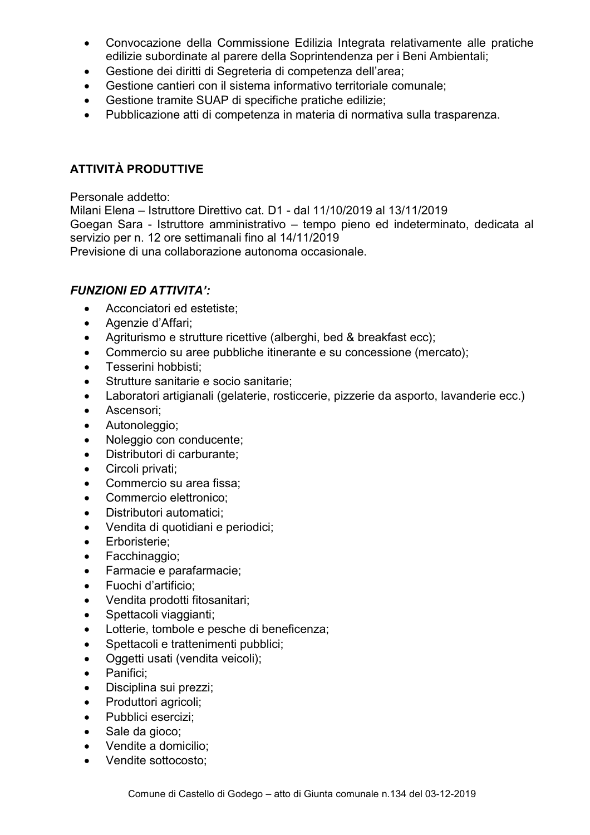- Convocazione della Commissione Edilizia Integrata relativamente alle pratiche  $\bullet$ edilizie subordinate al parere della Soprintendenza per i Beni Ambientali;
- Gestione dei diritti di Segreteria di competenza dell'area;  $\bullet$
- Gestione cantieri con il sistema informativo territoriale comunale:
- Gestione tramite SUAP di specifiche pratiche edilizie:
- Pubblicazione atti di competenza in materia di normativa sulla trasparenza.  $\bullet$

## **ATTIVITÀ PRODUTTIVE**

Personale addetto:

Milani Elena - Istruttore Direttivo cat. D1 - dal 11/10/2019 al 13/11/2019 Goegan Sara - Istruttore amministrativo - tempo pieno ed indeterminato, dedicata al servizio per n. 12 ore settimanali fino al 14/11/2019

Previsione di una collaborazione autonoma occasionale.

- $\bullet$ Acconciatori ed estetiste:
- Agenzie d'Affari;
- Agriturismo e strutture ricettive (alberghi, bed & breakfast ecc);
- Commercio su aree pubbliche itinerante e su concessione (mercato);  $\bullet$
- Tesserini hobbisti:
- Strutture sanitarie e socio sanitarie:
- Laboratori artigianali (gelaterie, rosticcerie, pizzerie da asporto, lavanderie ecc.)
- Ascensori;  $\bullet$
- Autonoleggio;  $\bullet$
- Noleggio con conducente;  $\bullet$
- Distributori di carburante;  $\bullet$
- Circoli privati;  $\bullet$
- Commercio su area fissa:
- Commercio elettronico:
- Distributori automatici;
- Vendita di quotidiani e periodici:
- Erboristerie:  $\bullet$
- Facchinaggio;
- Farmacie e parafarmacie:  $\bullet$
- Fuochi d'artificio:  $\bullet$
- Vendita prodotti fitosanitari;
- Spettacoli viaggianti:
- Lotterie, tombole e pesche di beneficenza;  $\bullet$
- Spettacoli e trattenimenti pubblici;  $\bullet$
- Oggetti usati (vendita veicoli);  $\bullet$
- Panifici:
- Disciplina sui prezzi;
- Produttori agricoli;
- Pubblici esercizi;
- Sale da gioco;
- Vendite a domicilio;
- Vendite sottocosto: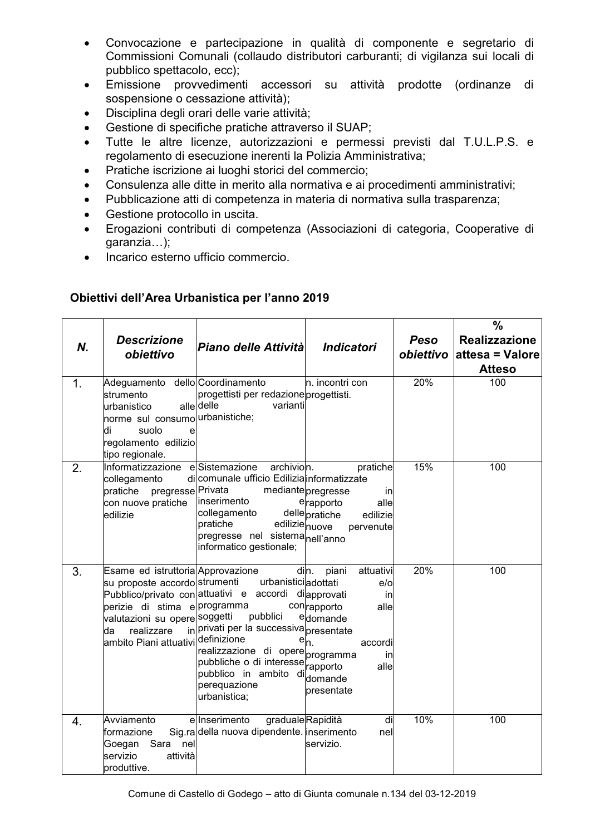- Convocazione e partecipazione in qualità di componente e segretario di  $\bullet$ Commissioni Comunali (collaudo distributori carburanti; di vigilanza sui locali di pubblico spettacolo, ecc);
- Emissione provvedimenti accessori su attività prodotte (ordinanze di  $\bullet$ sospensione o cessazione attività);
- Disciplina degli orari delle varie attività;  $\bullet$
- Gestione di specifiche pratiche attraverso il SUAP;
- Tutte le altre licenze, autorizzazioni e permessi previsti dal T.U.L.P.S. e regolamento di esecuzione inerenti la Polizia Amministrativa;
- Pratiche iscrizione ai luoghi storici del commercio;
- Consulenza alle ditte in merito alla normativa e ai procedimenti amministrativi;  $\bullet$
- Pubblicazione atti di competenza in materia di normativa sulla trasparenza;
- Gestione protocollo in uscita.
- Erogazioni contributi di competenza (Associazioni di categoria, Cooperative di  $\bullet$  $q$ aranzia...);
- Incarico esterno ufficio commercio.  $\bullet$

| Obiettivi dell'Area Urbanistica per l'anno 2019 |  |
|-------------------------------------------------|--|
|                                                 |  |

| N. | <b>Descrizione</b><br>obiettivo                                                                                                                                                                                        | Piano delle Attività                                                                                                                                                                                                                                              | <b>Indicatori</b>                                                                                                                               | Peso<br>obiettivo | $\frac{0}{0}$<br><b>Realizzazione</b><br>attesa = Valore<br><b>Atteso</b> |
|----|------------------------------------------------------------------------------------------------------------------------------------------------------------------------------------------------------------------------|-------------------------------------------------------------------------------------------------------------------------------------------------------------------------------------------------------------------------------------------------------------------|-------------------------------------------------------------------------------------------------------------------------------------------------|-------------------|---------------------------------------------------------------------------|
| 1. | Adeguamento dello Coordinamento<br>strumento<br>urbanistico<br>norme sul consumo urbanistiche;<br>suolo<br>di<br>e<br>regolamento edilizio<br>tipo regionale.                                                          | progettisti per redazione progettisti.<br>alle delle<br>varianti                                                                                                                                                                                                  | n. incontri con                                                                                                                                 | 20%               | 100                                                                       |
| 2. | Informatizzazione<br>collegamento<br>pregresse Privata<br>pratiche<br>con nuove pratiche<br>edilizie                                                                                                                   | e Sistemazione<br>archivion.<br>di comunale ufficio Edilizia informatizzate<br>inserimento<br>collegamento<br>edilizienuove<br>pratiche<br>pregresse nel sistemanell'anno<br>informatico gestionale;                                                              | pratiche<br>mediantepregresse<br>in<br>erapporto<br>alle<br>dellepratiche<br>edilizie<br>pervenute                                              | 15%               | 100                                                                       |
| 3. | Esame ed istruttoria Approvazione<br>su proposte accordo strumenti<br>perizie di stima e programma<br>valutazioni su opere <sup> soggetti</sup><br>realizzare<br>da<br>ambito Piani attuativi <sup>  definizione</sup> | urbanisticiadottati<br>Pubblico/privato con attuativi e accordi<br>pubblici<br>in privati per la successiva presentate<br>realizzazione di opere programma<br>pubbliche o di interesser rapporto<br>pubblico in ambito di domande<br>perequazione<br>urbanistica; | din.<br>piani<br>attuativi<br>$e$ /o<br>diapprovati<br>in<br>conrapporto<br>alle<br>edomande<br>$e _{n}$<br>accordi<br>in<br>alle<br>presentate | 20%               | 100                                                                       |
| 4. | Avviamento<br>formazione<br>Goegan<br>Sara<br>nell<br>servizio<br>attività<br>produttive.                                                                                                                              | e Inserimento<br>gradualeRapidità<br>Sig.ra della nuova dipendente. inserimento                                                                                                                                                                                   | di<br>nel<br>servizio.                                                                                                                          | 10%               | 100                                                                       |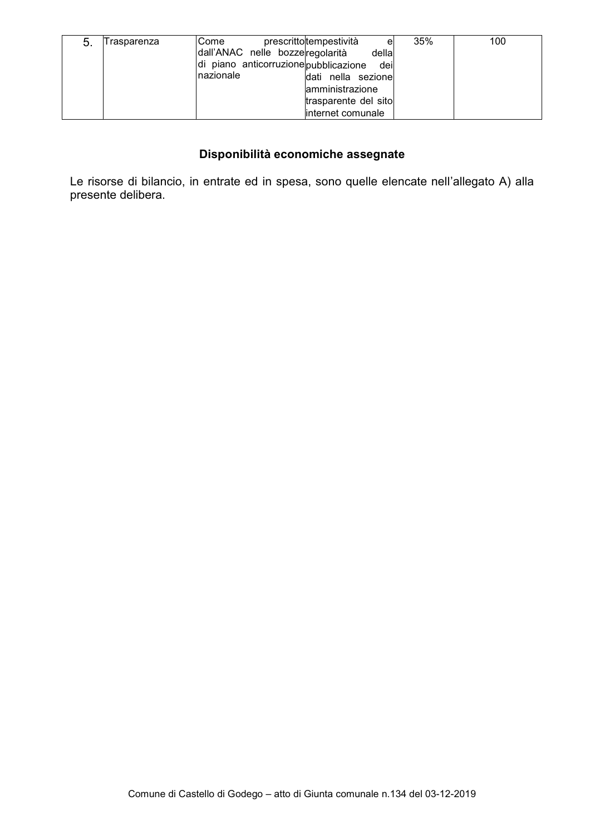| -5. | Trasparenza | lCome                                 | prescrittotempestività<br>e | 35% | 100 |
|-----|-------------|---------------------------------------|-----------------------------|-----|-----|
|     |             | dall'ANAC nelle bozzeregolarità       | della                       |     |     |
|     |             | di piano anticorruzione pubblicazione | dei                         |     |     |
|     |             | Inazionale                            | dati nella sezione          |     |     |
|     |             |                                       | lamministrazione            |     |     |
|     |             |                                       | trasparente del sito        |     |     |
|     |             |                                       | linternet comunale          |     |     |

#### Disponibilità economiche assegnate

Le risorse di bilancio, in entrate ed in spesa, sono quelle elencate nell'allegato A) alla presente delibera.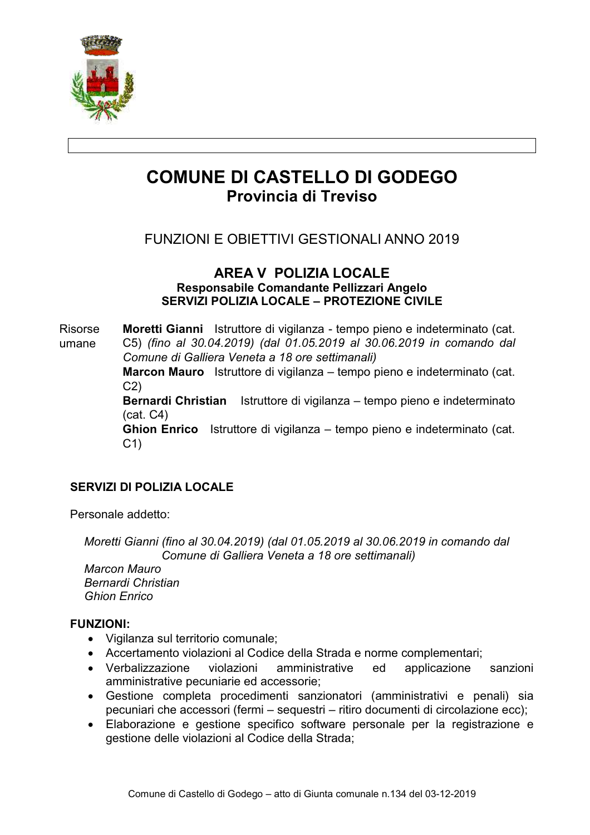

# **COMUNE DI CASTELLO DI GODEGO** Provincia di Treviso

# FUNZIONI E OBIFTTIVI GESTIONALI ANNO 2019

#### **AREA V POLIZIA LOCALE** Responsabile Comandante Pellizzari Angelo SERVIZI POLIZIA LOCALE - PROTEZIONE CIVILE

**Risorse** Moretti Gianni Istruttore di vigilanza - tempo pieno e indeterminato (cat. C5) (fino al 30.04.2019) (dal 01.05.2019 al 30.06.2019 in comando dal umane Comune di Galliera Veneta a 18 ore settimanali)

> Marcon Mauro Istruttore di vigilanza – tempo pieno e indeterminato (cat.  $C2$

> Bernardi Christian Istruttore di vigilanza – tempo pieno e indeterminato  $(cat. C4)$

> Ghion Enrico Istruttore di vigilanza – tempo pieno e indeterminato (cat.  $C<sub>1</sub>$

### **SERVIZI DI POLIZIA LOCALE**

Personale addetto:

Moretti Gianni (fino al 30.04.2019) (dal 01.05.2019 al 30.06.2019 in comando dal Comune di Galliera Veneta a 18 ore settimanali)

Marcon Mauro **Remardi Christian Ghion Fnrico** 

#### **FUNZIONI:**

- · Vigilanza sul territorio comunale;
- Accertamento violazioni al Codice della Strada e norme complementari:
- Verbalizzazione violazioni amministrative ed applicazione sanzioni amministrative pecuniarie ed accessorie;
- · Gestione completa procedimenti sanzionatori (amministrativi e penali) sia pecuniari che accessori (fermi - sequestri - ritiro documenti di circolazione ecc);
- Elaborazione e gestione specifico software personale per la registrazione e gestione delle violazioni al Codice della Strada;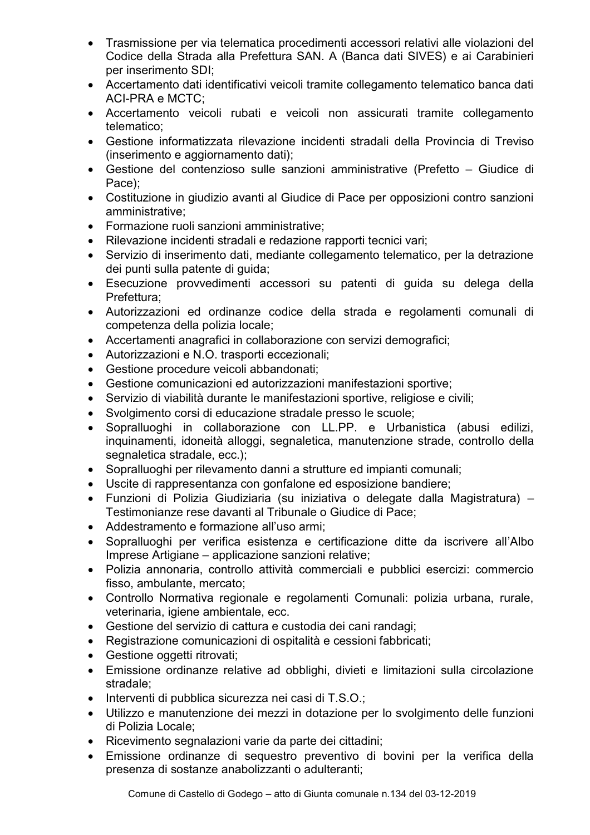- Trasmissione per via telematica procedimenti accessori relativi alle violazioni del Codice della Strada alla Prefettura SAN. A (Banca dati SIVES) e ai Carabinieri per inserimento SDI;
- Accertamento dati identificativi veicoli tramite collegamento telematico banca dati **ACI-PRA e MCTC:**
- Accertamento veicoli rubati e veicoli non assicurati tramite collegamento telematico:
- Gestione informatizzata rilevazione incidenti stradali della Provincia di Treviso (inserimento e aggiornamento dati);
- Gestione del contenzioso sulle sanzioni amministrative (Prefetto Giudice di Pace):
- Costituzione in giudizio avanti al Giudice di Pace per opposizioni contro sanzioni amministrative:
- Formazione ruoli sanzioni amministrative;
- · Rilevazione incidenti stradali e redazione rapporti tecnici vari;
- Servizio di inserimento dati, mediante collegamento telematico, per la detrazione dei punti sulla patente di quida;
- · Esecuzione provvedimenti accessori su patenti di quida su delega della Prefettura:
- · Autorizzazioni ed ordinanze codice della strada e regolamenti comunali di competenza della polizia locale;
- Accertamenti anagrafici in collaborazione con servizi demografici;
- Autorizzazioni e N.O. trasporti eccezionali:
- Gestione procedure veicoli abbandonati:
- Gestione comunicazioni ed autorizzazioni manifestazioni sportive;
- Servizio di viabilità durante le manifestazioni sportive, religiose e civili:
- Svolgimento corsi di educazione stradale presso le scuole;
- · Sopralluoghi in collaborazione con LL.PP. e Urbanistica (abusi edilizi, inquinamenti, idoneità alloggi, segnaletica, manutenzione strade, controllo della segnaletica stradale, ecc.);
- Sopralluoghi per rilevamento danni a strutture ed impianti comunali;
- Uscite di rappresentanza con gonfalone ed esposizione bandiere:
- · Funzioni di Polizia Giudiziaria (su iniziativa o delegate dalla Magistratura) -Testimonianze rese davanti al Tribunale o Giudice di Pace:
- Addestramento e formazione all'uso armi:
- Sopralluoghi per verifica esistenza e certificazione ditte da iscrivere all'Albo Imprese Artigiane - applicazione sanzioni relative;
- · Polizia annonaria, controllo attività commerciali e pubblici esercizi: commercio fisso, ambulante, mercato;
- Controllo Normativa regionale e regolamenti Comunali: polizia urbana, rurale, veterinaria, igiene ambientale, ecc.
- Gestione del servizio di cattura e custodia dei cani randagi:
- Registrazione comunicazioni di ospitalità e cessioni fabbricati;
- Gestione oggetti ritrovati;
- Emissione ordinanze relative ad obblighi, divieti e limitazioni sulla circolazione stradale:
- Interventi di pubblica sicurezza nei casi di T.S.O.;
- Utilizzo e manutenzione dei mezzi in dotazione per lo svolgimento delle funzioni di Polizia Locale;
- Ricevimento segnalazioni varie da parte dei cittadini;
- · Emissione ordinanze di sequestro preventivo di bovini per la verifica della presenza di sostanze anabolizzanti o adulteranti: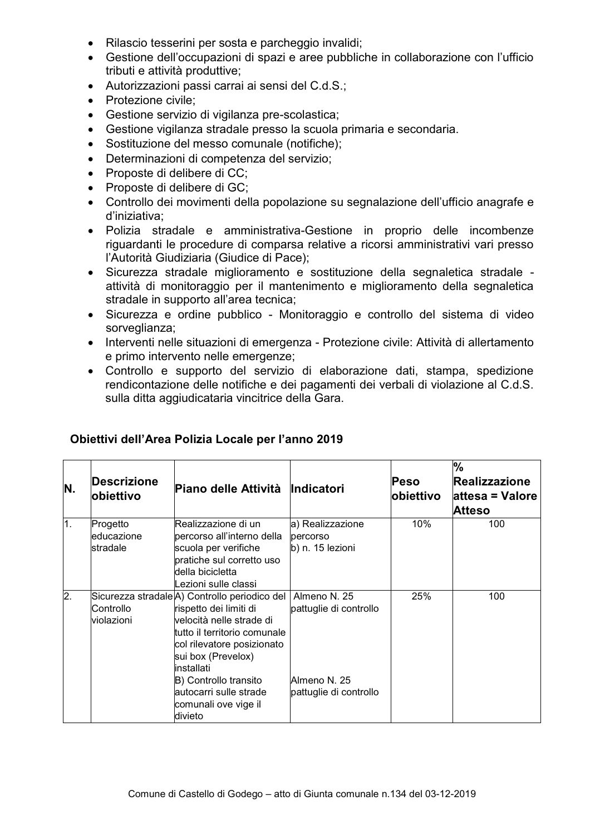- Rilascio tesserini per sosta e parcheggio invalidi;
- Gestione dell'occupazioni di spazi e aree pubbliche in collaborazione con l'ufficio tributi e attività produttive;
- Autorizzazioni passi carrai ai sensi del C.d.S.;
- Protezione civile:
- Gestione servizio di vigilanza pre-scolastica;
- Gestione vigilanza stradale presso la scuola primaria e secondaria.
- Sostituzione del messo comunale (notifiche);
- Determinazioni di competenza del servizio:
- Proposte di delibere di CC:
- Proposte di delibere di GC;
- Controllo dei movimenti della popolazione su segnalazione dell'ufficio anagrafe e d'iniziativa:
- Polizia stradale e amministrativa-Gestione in proprio delle incombenze riguardanti le procedure di comparsa relative a ricorsi amministrativi vari presso l'Autorità Giudiziaria (Giudice di Pace):
- · Sicurezza stradale miglioramento e sostituzione della segnaletica stradale attività di monitoraggio per il mantenimento e miglioramento della segnaletica stradale in supporto all'area tecnica:
- Sicurezza e ordine pubblico Monitoraggio e controllo del sistema di video sorveglianza;
- · Interventi nelle situazioni di emergenza Protezione civile: Attività di allertamento e primo intervento nelle emergenze;
- Controllo e supporto del servizio di elaborazione dati, stampa, spedizione rendicontazione delle notifiche e dei pagamenti dei verbali di violazione al C.d.S. sulla ditta aggiudicataria vincitrice della Gara.

| N.               | Descrizione<br>lobiettivo            | Piano delle Attività Indicatori                                                                                                                                                                                                                                                             |                                                                                  | <b>Peso</b><br>lobiettivo | $\%$<br><b>Realizzazione</b><br>lattesa = Valore<br><b>Atteso</b> |
|------------------|--------------------------------------|---------------------------------------------------------------------------------------------------------------------------------------------------------------------------------------------------------------------------------------------------------------------------------------------|----------------------------------------------------------------------------------|---------------------------|-------------------------------------------------------------------|
| $\overline{1}$ . | Progetto<br>leducazione<br>lstradale | Realizzazione di un<br>percorso all'interno della<br>scuola per verifiche<br>pratiche sul corretto uso<br>ldella bicicletta<br>Lezioni sulle classi.                                                                                                                                        | a) Realizzazione<br>percorso<br>b) n. 15 lezioni                                 | 10%                       | 100                                                               |
| $\overline{2}$ . | Controllo<br>lviolazioni             | Sicurezza stradale A) Controllo periodico del<br>rispetto dei limiti di<br>velocità nelle strade di<br>tutto il territorio comunale<br>col rilevatore posizionato<br>sui box (Prevelox)<br>installati<br>B) Controllo transito<br>autocarri sulle strade<br>comunali ove vige il<br>divieto | Almeno N. 25<br>pattuglie di controllo<br>Almeno N. 25<br>pattuglie di controllo | 25%                       | 100                                                               |

#### Obiettivi dell'Area Polizia Locale per l'anno 2019